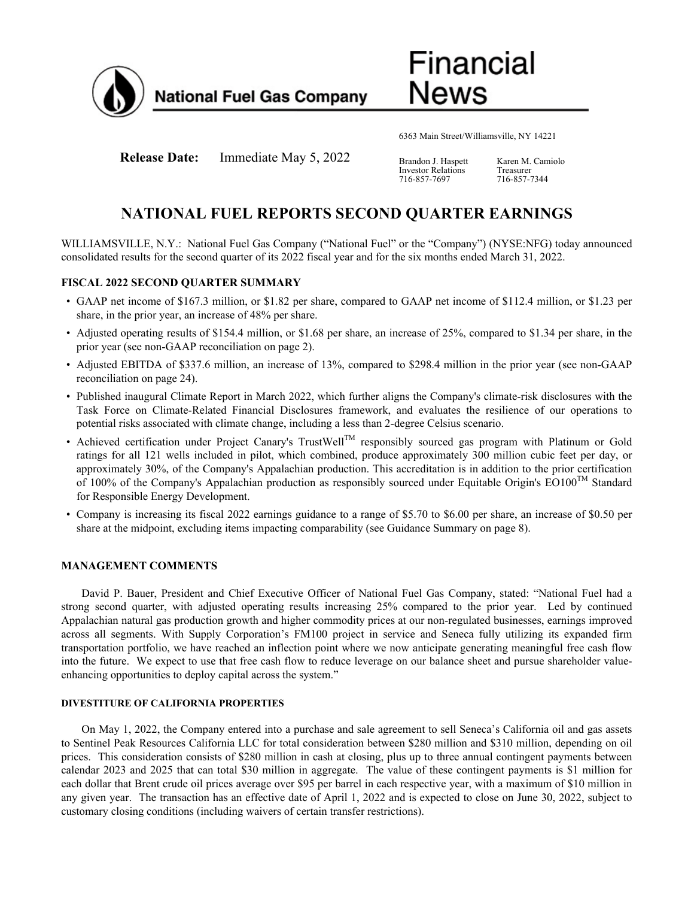

Financial News

6363 Main Street/Williamsville, NY 14221

**Release Date:** Immediate May 5, 2022 Brandon J. Haspett

Investor Relations 716-857-7697

Karen M. Camiolo Treasurer 716-857-7344

# **NATIONAL FUEL REPORTS SECOND QUARTER EARNINGS**

WILLIAMSVILLE, N.Y.: National Fuel Gas Company ("National Fuel" or the "Company") (NYSE:NFG) today announced consolidated results for the second quarter of its 2022 fiscal year and for the six months ended March 31, 2022.

### **FISCAL 2022 SECOND QUARTER SUMMARY**

- GAAP net income of \$167.3 million, or \$1.82 per share, compared to GAAP net income of \$112.4 million, or \$1.23 per share, in the prior year, an increase of 48% per share.
- Adjusted operating results of \$154.4 million, or \$1.68 per share, an increase of 25%, compared to \$1.34 per share, in the prior year (see non-GAAP reconciliation on page 2).
- Adjusted EBITDA of \$337.6 million, an increase of 13%, compared to \$298.4 million in the prior year (see non-GAAP reconciliation on page 24).
- Published inaugural Climate Report in March 2022, which further aligns the Company's climate-risk disclosures with the Task Force on Climate-Related Financial Disclosures framework, and evaluates the resilience of our operations to potential risks associated with climate change, including a less than 2-degree Celsius scenario.
- Achieved certification under Project Canary's TrustWell<sup>TM</sup> responsibly sourced gas program with Platinum or Gold ratings for all 121 wells included in pilot, which combined, produce approximately 300 million cubic feet per day, or approximately 30%, of the Company's Appalachian production. This accreditation is in addition to the prior certification of 100% of the Company's Appalachian production as responsibly sourced under Equitable Origin's EO100<sup>TM</sup> Standard for Responsible Energy Development.
- Company is increasing its fiscal 2022 earnings guidance to a range of \$5.70 to \$6.00 per share, an increase of \$0.50 per share at the midpoint, excluding items impacting comparability (see Guidance Summary on page 8).

### **MANAGEMENT COMMENTS**

David P. Bauer, President and Chief Executive Officer of National Fuel Gas Company, stated: "National Fuel had a strong second quarter, with adjusted operating results increasing 25% compared to the prior year. Led by continued Appalachian natural gas production growth and higher commodity prices at our non-regulated businesses, earnings improved across all segments. With Supply Corporation's FM100 project in service and Seneca fully utilizing its expanded firm transportation portfolio, we have reached an inflection point where we now anticipate generating meaningful free cash flow into the future. We expect to use that free cash flow to reduce leverage on our balance sheet and pursue shareholder valueenhancing opportunities to deploy capital across the system."

### **DIVESTITURE OF CALIFORNIA PROPERTIES**

On May 1, 2022, the Company entered into a purchase and sale agreement to sell Seneca's California oil and gas assets to Sentinel Peak Resources California LLC for total consideration between \$280 million and \$310 million, depending on oil prices. This consideration consists of \$280 million in cash at closing, plus up to three annual contingent payments between calendar 2023 and 2025 that can total \$30 million in aggregate. The value of these contingent payments is \$1 million for each dollar that Brent crude oil prices average over \$95 per barrel in each respective year, with a maximum of \$10 million in any given year. The transaction has an effective date of April 1, 2022 and is expected to close on June 30, 2022, subject to customary closing conditions (including waivers of certain transfer restrictions).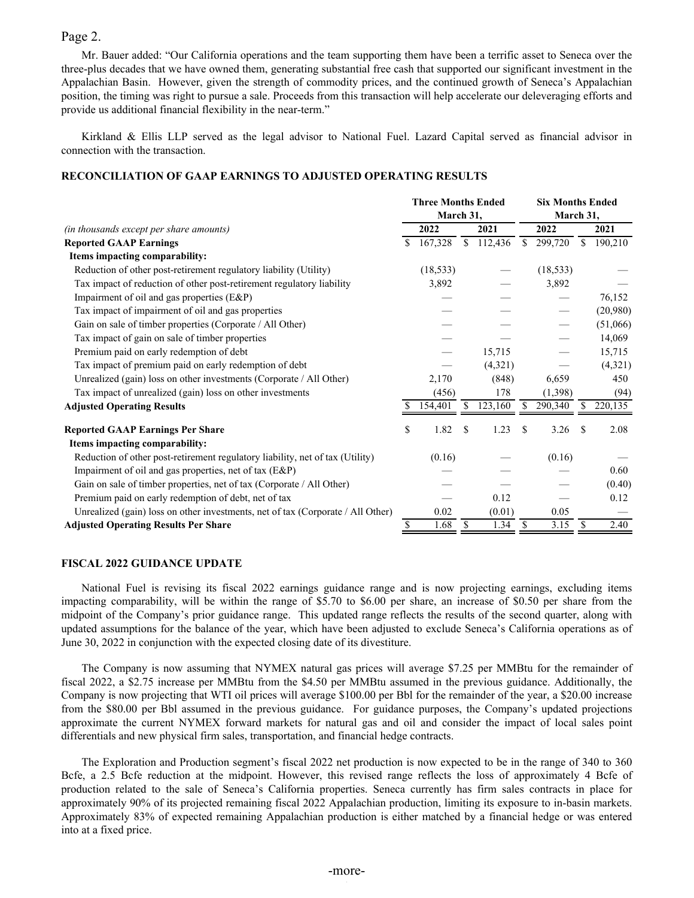## Page 2.

Mr. Bauer added: "Our California operations and the team supporting them have been a terrific asset to Seneca over the three-plus decades that we have owned them, generating substantial free cash that supported our significant investment in the Appalachian Basin. However, given the strength of commodity prices, and the continued growth of Seneca's Appalachian position, the timing was right to pursue a sale. Proceeds from this transaction will help accelerate our deleveraging efforts and provide us additional financial flexibility in the near-term."

Kirkland & Ellis LLP served as the legal advisor to National Fuel. Lazard Capital served as financial advisor in connection with the transaction.

### **RECONCILIATION OF GAAP EARNINGS TO ADJUSTED OPERATING RESULTS**

|                                                                                 |    | <b>Three Months Ended</b> |              | <b>Six Months Ended</b> |              |           |              |          |
|---------------------------------------------------------------------------------|----|---------------------------|--------------|-------------------------|--------------|-----------|--------------|----------|
|                                                                                 |    | March 31,                 |              |                         |              | March 31, |              |          |
| (in thousands except per share amounts)                                         |    | 2022                      |              | 2021                    |              | 2022      |              | 2021     |
| <b>Reported GAAP Earnings</b>                                                   | \$ | 167,328                   | <sup>S</sup> | 112,436                 | $\mathbb{S}$ | 299,720   | <sup>S</sup> | 190,210  |
| Items impacting comparability:                                                  |    |                           |              |                         |              |           |              |          |
| Reduction of other post-retirement regulatory liability (Utility)               |    | (18, 533)                 |              |                         |              | (18, 533) |              |          |
| Tax impact of reduction of other post-retirement regulatory liability           |    | 3,892                     |              |                         |              | 3,892     |              |          |
| Impairment of oil and gas properties (E&P)                                      |    |                           |              |                         |              |           |              | 76,152   |
| Tax impact of impairment of oil and gas properties                              |    |                           |              |                         |              |           |              | (20,980) |
| Gain on sale of timber properties (Corporate / All Other)                       |    |                           |              |                         |              |           |              | (51,066) |
| Tax impact of gain on sale of timber properties                                 |    |                           |              |                         |              |           |              | 14,069   |
| Premium paid on early redemption of debt                                        |    |                           |              | 15,715                  |              |           |              | 15,715   |
| Tax impact of premium paid on early redemption of debt                          |    |                           |              | (4,321)                 |              |           |              | (4,321)  |
| Unrealized (gain) loss on other investments (Corporate / All Other)             |    | 2,170                     |              | (848)                   |              | 6,659     |              | 450      |
| Tax impact of unrealized (gain) loss on other investments                       |    | (456)                     |              | 178                     |              | (1,398)   |              | (94)     |
| <b>Adjusted Operating Results</b>                                               | S. | 154,401                   |              | 123,160                 | S            | 290,340   | S.           | 220,135  |
| <b>Reported GAAP Earnings Per Share</b>                                         | \$ | 1.82                      | -S           | 1.23                    | S            | 3.26      | S            | 2.08     |
| Items impacting comparability:                                                  |    |                           |              |                         |              |           |              |          |
| Reduction of other post-retirement regulatory liability, net of tax (Utility)   |    | (0.16)                    |              |                         |              | (0.16)    |              |          |
| Impairment of oil and gas properties, net of tax (E&P)                          |    |                           |              |                         |              |           |              | 0.60     |
| Gain on sale of timber properties, net of tax (Corporate / All Other)           |    |                           |              |                         |              |           |              | (0.40)   |
| Premium paid on early redemption of debt, net of tax                            |    |                           |              | 0.12                    |              |           |              | 0.12     |
| Unrealized (gain) loss on other investments, net of tax (Corporate / All Other) |    | 0.02                      |              | (0.01)                  |              | 0.05      |              |          |
| <b>Adjusted Operating Results Per Share</b>                                     |    | 1.68                      |              | 1.34                    | \$           | 3.15      | \$           | 2.40     |

### **FISCAL 2022 GUIDANCE UPDATE**

National Fuel is revising its fiscal 2022 earnings guidance range and is now projecting earnings, excluding items impacting comparability, will be within the range of \$5.70 to \$6.00 per share, an increase of \$0.50 per share from the midpoint of the Company's prior guidance range. This updated range reflects the results of the second quarter, along with updated assumptions for the balance of the year, which have been adjusted to exclude Seneca's California operations as of June 30, 2022 in conjunction with the expected closing date of its divestiture.

The Company is now assuming that NYMEX natural gas prices will average \$7.25 per MMBtu for the remainder of fiscal 2022, a \$2.75 increase per MMBtu from the \$4.50 per MMBtu assumed in the previous guidance. Additionally, the Company is now projecting that WTI oil prices will average \$100.00 per Bbl for the remainder of the year, a \$20.00 increase from the \$80.00 per Bbl assumed in the previous guidance. For guidance purposes, the Company's updated projections approximate the current NYMEX forward markets for natural gas and oil and consider the impact of local sales point differentials and new physical firm sales, transportation, and financial hedge contracts.

The Exploration and Production segment's fiscal 2022 net production is now expected to be in the range of 340 to 360 Bcfe, a 2.5 Bcfe reduction at the midpoint. However, this revised range reflects the loss of approximately 4 Bcfe of production related to the sale of Seneca's California properties. Seneca currently has firm sales contracts in place for approximately 90% of its projected remaining fiscal 2022 Appalachian production, limiting its exposure to in-basin markets. Approximately 83% of expected remaining Appalachian production is either matched by a financial hedge or was entered into at a fixed price.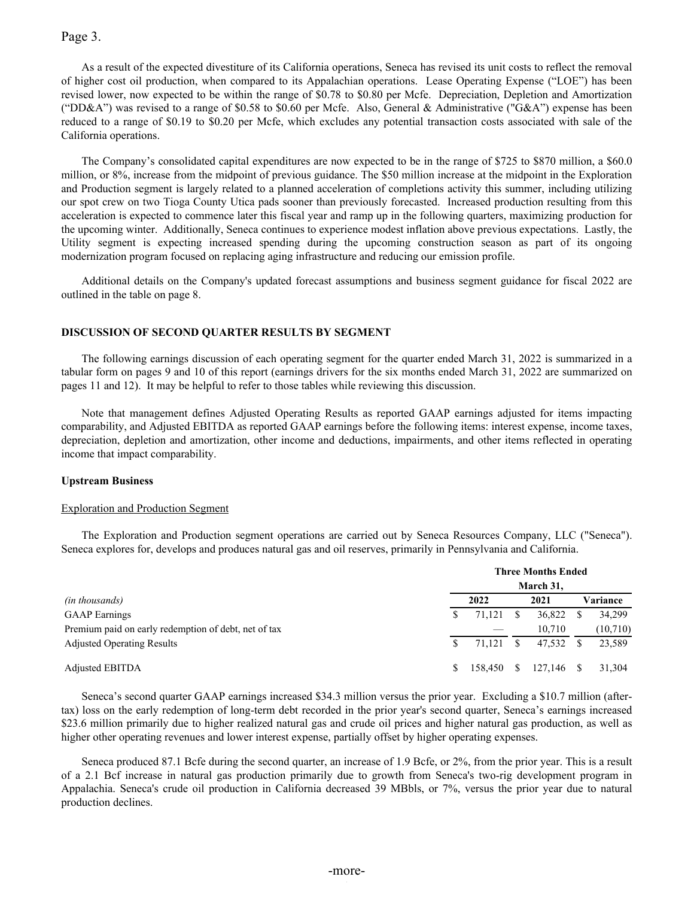## Page 3.

As a result of the expected divestiture of its California operations, Seneca has revised its unit costs to reflect the removal of higher cost oil production, when compared to its Appalachian operations. Lease Operating Expense ("LOE") has been revised lower, now expected to be within the range of \$0.78 to \$0.80 per Mcfe. Depreciation, Depletion and Amortization ("DD&A") was revised to a range of \$0.58 to \$0.60 per Mcfe. Also, General & Administrative ("G&A") expense has been reduced to a range of \$0.19 to \$0.20 per Mcfe, which excludes any potential transaction costs associated with sale of the California operations.

The Company's consolidated capital expenditures are now expected to be in the range of \$725 to \$870 million, a \$60.0 million, or 8%, increase from the midpoint of previous guidance. The \$50 million increase at the midpoint in the Exploration and Production segment is largely related to a planned acceleration of completions activity this summer, including utilizing our spot crew on two Tioga County Utica pads sooner than previously forecasted. Increased production resulting from this acceleration is expected to commence later this fiscal year and ramp up in the following quarters, maximizing production for the upcoming winter. Additionally, Seneca continues to experience modest inflation above previous expectations. Lastly, the Utility segment is expecting increased spending during the upcoming construction season as part of its ongoing modernization program focused on replacing aging infrastructure and reducing our emission profile.

Additional details on the Company's updated forecast assumptions and business segment guidance for fiscal 2022 are outlined in the table on page 8.

### **DISCUSSION OF SECOND QUARTER RESULTS BY SEGMENT**

The following earnings discussion of each operating segment for the quarter ended March 31, 2022 is summarized in a tabular form on pages 9 and 10 of this report (earnings drivers for the six months ended March 31, 2022 are summarized on pages 11 and 12). It may be helpful to refer to those tables while reviewing this discussion.

Note that management defines Adjusted Operating Results as reported GAAP earnings adjusted for items impacting comparability, and Adjusted EBITDA as reported GAAP earnings before the following items: interest expense, income taxes, depreciation, depletion and amortization, other income and deductions, impairments, and other items reflected in operating income that impact comparability.

### **Upstream Business**

### Exploration and Production Segment

The Exploration and Production segment operations are carried out by Seneca Resources Company, LLC ("Seneca"). Seneca explores for, develops and produces natural gas and oil reserves, primarily in Pennsylvania and California.

|                                                      | <b>Three Months Ended</b> |         |    |              |  |           |  |  |  |  |
|------------------------------------------------------|---------------------------|---------|----|--------------|--|-----------|--|--|--|--|
|                                                      |                           |         |    | March 31,    |  |           |  |  |  |  |
| (in thousands)                                       |                           | 2022    |    | 2021         |  | Variance  |  |  |  |  |
| <b>GAAP</b> Earnings                                 |                           | 71,121  |    | 36,822       |  | 34,299    |  |  |  |  |
| Premium paid on early redemption of debt, net of tax |                           |         |    | 10.710       |  | (10, 710) |  |  |  |  |
| <b>Adjusted Operating Results</b>                    |                           | 71.121  | -S | 47.532       |  | 23,589    |  |  |  |  |
| <b>Adjusted EBITDA</b>                               | S                         | 158,450 | S. | $127,146$ \$ |  | 31.304    |  |  |  |  |

Seneca's second quarter GAAP earnings increased \$34.3 million versus the prior year. Excluding a \$10.7 million (aftertax) loss on the early redemption of long-term debt recorded in the prior year's second quarter, Seneca's earnings increased \$23.6 million primarily due to higher realized natural gas and crude oil prices and higher natural gas production, as well as higher other operating revenues and lower interest expense, partially offset by higher operating expenses.

Seneca produced 87.1 Bcfe during the second quarter, an increase of 1.9 Bcfe, or 2%, from the prior year. This is a result of a 2.1 Bcf increase in natural gas production primarily due to growth from Seneca's two-rig development program in Appalachia. Seneca's crude oil production in California decreased 39 MBbls, or 7%, versus the prior year due to natural production declines.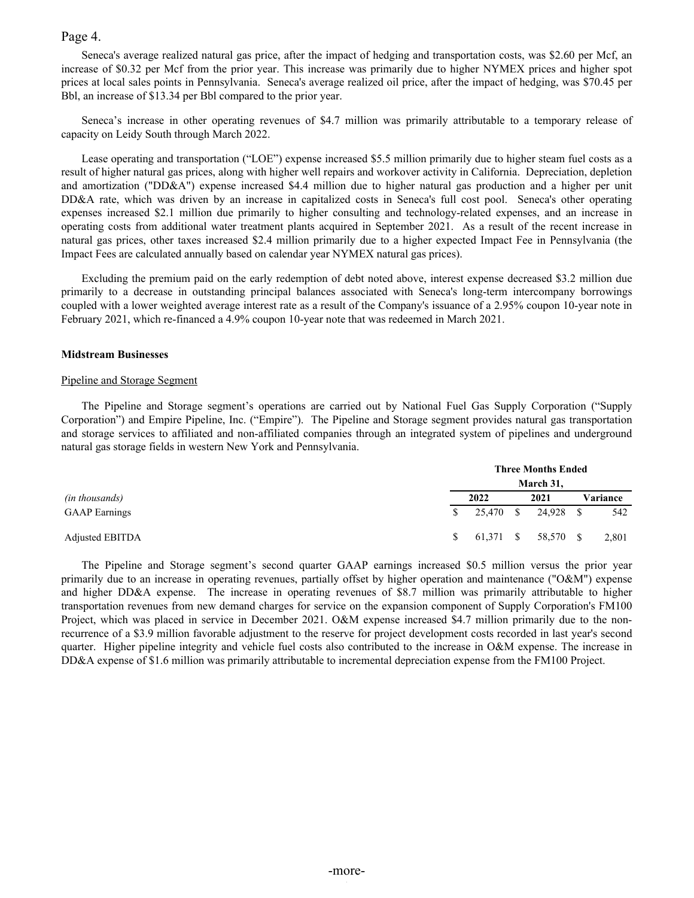### Page 4.

Seneca's average realized natural gas price, after the impact of hedging and transportation costs, was \$2.60 per Mcf, an increase of \$0.32 per Mcf from the prior year. This increase was primarily due to higher NYMEX prices and higher spot prices at local sales points in Pennsylvania. Seneca's average realized oil price, after the impact of hedging, was \$70.45 per Bbl, an increase of \$13.34 per Bbl compared to the prior year.

Seneca's increase in other operating revenues of \$4.7 million was primarily attributable to a temporary release of capacity on Leidy South through March 2022.

Lease operating and transportation ("LOE") expense increased \$5.5 million primarily due to higher steam fuel costs as a result of higher natural gas prices, along with higher well repairs and workover activity in California. Depreciation, depletion and amortization ("DD&A") expense increased \$4.4 million due to higher natural gas production and a higher per unit DD&A rate, which was driven by an increase in capitalized costs in Seneca's full cost pool. Seneca's other operating expenses increased \$2.1 million due primarily to higher consulting and technology-related expenses, and an increase in operating costs from additional water treatment plants acquired in September 2021. As a result of the recent increase in natural gas prices, other taxes increased \$2.4 million primarily due to a higher expected Impact Fee in Pennsylvania (the Impact Fees are calculated annually based on calendar year NYMEX natural gas prices).

Excluding the premium paid on the early redemption of debt noted above, interest expense decreased \$3.2 million due primarily to a decrease in outstanding principal balances associated with Seneca's long-term intercompany borrowings coupled with a lower weighted average interest rate as a result of the Company's issuance of a 2.95% coupon 10-year note in February 2021, which re-financed a 4.9% coupon 10-year note that was redeemed in March 2021.

#### **Midstream Businesses**

#### Pipeline and Storage Segment

The Pipeline and Storage segment's operations are carried out by National Fuel Gas Supply Corporation ("Supply Corporation") and Empire Pipeline, Inc. ("Empire"). The Pipeline and Storage segment provides natural gas transportation and storage services to affiliated and non-affiliated companies through an integrated system of pipelines and underground natural gas storage fields in western New York and Pennsylvania.

|                       |              | <b>Three Months Ended</b> |  |                     |  |          |  |  |  |  |  |  |  |  |
|-----------------------|--------------|---------------------------|--|---------------------|--|----------|--|--|--|--|--|--|--|--|
|                       |              |                           |  | March 31,           |  |          |  |  |  |  |  |  |  |  |
| <i>(in thousands)</i> |              | 2022                      |  | 2021                |  | Variance |  |  |  |  |  |  |  |  |
| <b>GAAP</b> Earnings  | S.           |                           |  | 25,470 \$ 24,928 \$ |  | 542      |  |  |  |  |  |  |  |  |
| Adjusted EBITDA       | <sup>S</sup> |                           |  | 61,371 \$ 58,570 \$ |  | 2,801    |  |  |  |  |  |  |  |  |

The Pipeline and Storage segment's second quarter GAAP earnings increased \$0.5 million versus the prior year primarily due to an increase in operating revenues, partially offset by higher operation and maintenance ("O&M") expense and higher DD&A expense. The increase in operating revenues of \$8.7 million was primarily attributable to higher transportation revenues from new demand charges for service on the expansion component of Supply Corporation's FM100 Project, which was placed in service in December 2021. O&M expense increased \$4.7 million primarily due to the nonrecurrence of a \$3.9 million favorable adjustment to the reserve for project development costs recorded in last year's second quarter. Higher pipeline integrity and vehicle fuel costs also contributed to the increase in O&M expense. The increase in DD&A expense of \$1.6 million was primarily attributable to incremental depreciation expense from the FM100 Project.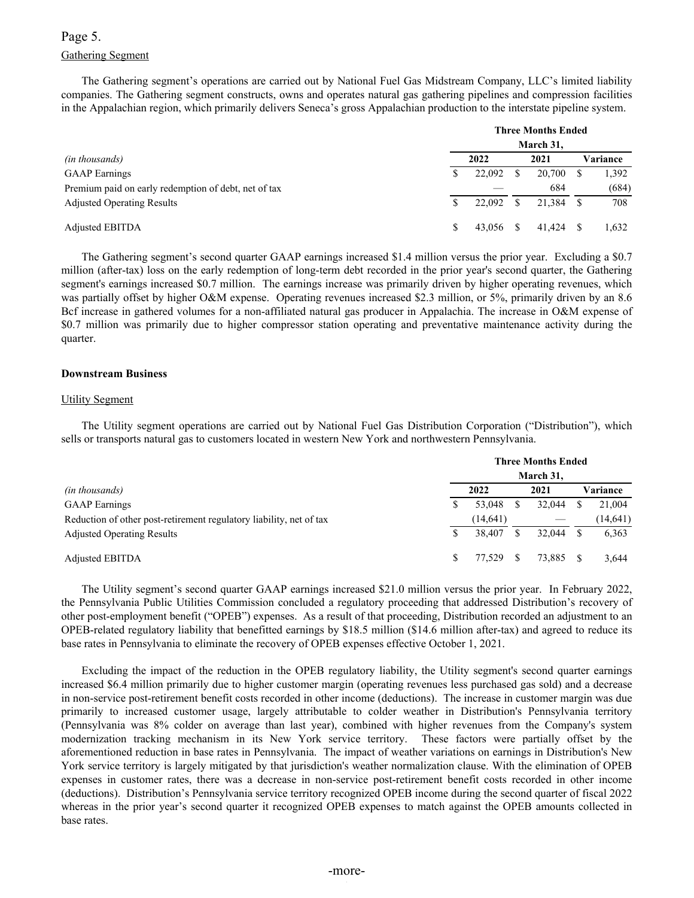## Gathering Segment Page 5.

The Gathering segment's operations are carried out by National Fuel Gas Midstream Company, LLC's limited liability companies. The Gathering segment constructs, owns and operates natural gas gathering pipelines and compression facilities in the Appalachian region, which primarily delivers Seneca's gross Appalachian production to the interstate pipeline system.

|                                                      |   |        | <b>Three Months Ended</b> |      |          |
|------------------------------------------------------|---|--------|---------------------------|------|----------|
|                                                      |   |        | March 31,                 |      |          |
| <i>(in thousands)</i>                                |   | 2022   | 2021                      |      | Variance |
| <b>GAAP</b> Earnings                                 | S | 22,092 | 20,700                    |      | 1,392    |
| Premium paid on early redemption of debt, net of tax |   |        | 684                       |      | (684)    |
| <b>Adjusted Operating Results</b>                    |   | 22,092 | 21.384                    | - \$ | 708      |
| <b>Adjusted EBITDA</b>                               |   | 43.056 | 41.424                    |      | 1.632    |

The Gathering segment's second quarter GAAP earnings increased \$1.4 million versus the prior year. Excluding a \$0.7 million (after-tax) loss on the early redemption of long-term debt recorded in the prior year's second quarter, the Gathering segment's earnings increased \$0.7 million. The earnings increase was primarily driven by higher operating revenues, which was partially offset by higher O&M expense. Operating revenues increased \$2.3 million, or 5%, primarily driven by an 8.6 Bcf increase in gathered volumes for a non-affiliated natural gas producer in Appalachia. The increase in O&M expense of \$0.7 million was primarily due to higher compressor station operating and preventative maintenance activity during the quarter.

### **Downstream Business**

### Utility Segment

The Utility segment operations are carried out by National Fuel Gas Distribution Corporation ("Distribution"), which sells or transports natural gas to customers located in western New York and northwestern Pennsylvania.

|                                                                     |           | <b>Three Months Ended</b> |           |
|---------------------------------------------------------------------|-----------|---------------------------|-----------|
|                                                                     |           | March 31,                 |           |
| <i>(in thousands)</i>                                               | 2022      | 2021                      | Variance  |
| <b>GAAP</b> Earnings                                                | 53,048    | 32.044                    | 21,004    |
| Reduction of other post-retirement regulatory liability, net of tax | (14, 641) |                           | (14, 641) |
| <b>Adjusted Operating Results</b>                                   | 38.407    | 32.044                    | 6,363     |
| Adjusted EBITDA                                                     | 77.529    | 73.885                    | 3,644     |

The Utility segment's second quarter GAAP earnings increased \$21.0 million versus the prior year. In February 2022, the Pennsylvania Public Utilities Commission concluded a regulatory proceeding that addressed Distribution's recovery of other post-employment benefit ("OPEB") expenses. As a result of that proceeding, Distribution recorded an adjustment to an OPEB-related regulatory liability that benefitted earnings by \$18.5 million (\$14.6 million after-tax) and agreed to reduce its base rates in Pennsylvania to eliminate the recovery of OPEB expenses effective October 1, 2021.

Excluding the impact of the reduction in the OPEB regulatory liability, the Utility segment's second quarter earnings increased \$6.4 million primarily due to higher customer margin (operating revenues less purchased gas sold) and a decrease in non-service post-retirement benefit costs recorded in other income (deductions). The increase in customer margin was due primarily to increased customer usage, largely attributable to colder weather in Distribution's Pennsylvania territory (Pennsylvania was 8% colder on average than last year), combined with higher revenues from the Company's system modernization tracking mechanism in its New York service territory. These factors were partially offset by the aforementioned reduction in base rates in Pennsylvania. The impact of weather variations on earnings in Distribution's New York service territory is largely mitigated by that jurisdiction's weather normalization clause. With the elimination of OPEB expenses in customer rates, there was a decrease in non-service post-retirement benefit costs recorded in other income (deductions). Distribution's Pennsylvania service territory recognized OPEB income during the second quarter of fiscal 2022 whereas in the prior year's second quarter it recognized OPEB expenses to match against the OPEB amounts collected in base rates.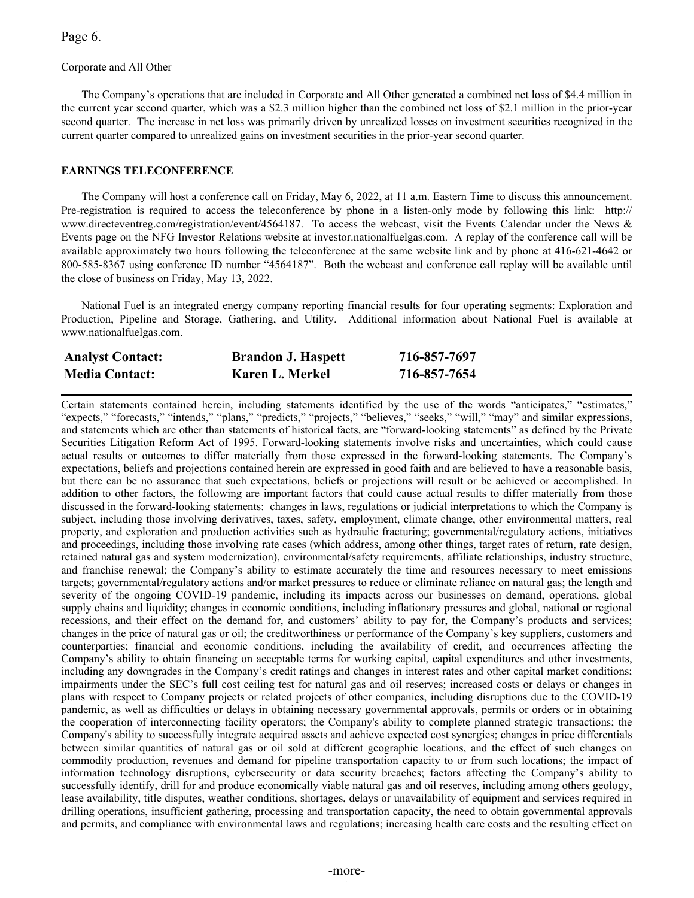Page 6.

### Corporate and All Other

The Company's operations that are included in Corporate and All Other generated a combined net loss of \$4.4 million in the current year second quarter, which was a \$2.3 million higher than the combined net loss of \$2.1 million in the prior-year second quarter. The increase in net loss was primarily driven by unrealized losses on investment securities recognized in the current quarter compared to unrealized gains on investment securities in the prior-year second quarter.

### **EARNINGS TELECONFERENCE**

The Company will host a conference call on Friday, May 6, 2022, at 11 a.m. Eastern Time to discuss this announcement. Pre-registration is required to access the teleconference by phone in a listen-only mode by following this link: http:// [www.directeventreg.com/registration/event/4564187](http://www.directeventreg.com/registration/event/4564187). To access the webcast, visit the Events Calendar under the News & Events page on the NFG Investor Relations website at [investor.nationalfuelgas.com.](https://investor.nationalfuelgas.com/news-and-events/events-calendar/default.aspx) A replay of the conference call will be available approximately two hours following the teleconference at the same website link and by phone at 416-621-4642 or 800-585-8367 using conference ID number "4564187". Both the webcast and conference call replay will be available until the close of business on Friday, May 13, 2022.

National Fuel is an integrated energy company reporting financial results for four operating segments: Exploration and Production, Pipeline and Storage, Gathering, and Utility. Additional information about National Fuel is available at www.nationalfuelgas.com.

| <b>Analyst Contact:</b> | <b>Brandon J. Haspett</b> | 716-857-7697 |
|-------------------------|---------------------------|--------------|
| <b>Media Contact:</b>   | Karen L. Merkel           | 716-857-7654 |

Certain statements contained herein, including statements identified by the use of the words "anticipates," "estimates," "expects," "forecasts," "intends," "plans," "predicts," "projects," "believes," "seeks," "will," "may" and similar expressions, and statements which are other than statements of historical facts, are "forward-looking statements" as defined by the Private Securities Litigation Reform Act of 1995. Forward-looking statements involve risks and uncertainties, which could cause actual results or outcomes to differ materially from those expressed in the forward-looking statements. The Company's expectations, beliefs and projections contained herein are expressed in good faith and are believed to have a reasonable basis, but there can be no assurance that such expectations, beliefs or projections will result or be achieved or accomplished. In addition to other factors, the following are important factors that could cause actual results to differ materially from those discussed in the forward-looking statements: changes in laws, regulations or judicial interpretations to which the Company is subject, including those involving derivatives, taxes, safety, employment, climate change, other environmental matters, real property, and exploration and production activities such as hydraulic fracturing; governmental/regulatory actions, initiatives and proceedings, including those involving rate cases (which address, among other things, target rates of return, rate design, retained natural gas and system modernization), environmental/safety requirements, affiliate relationships, industry structure, and franchise renewal; the Company's ability to estimate accurately the time and resources necessary to meet emissions targets; governmental/regulatory actions and/or market pressures to reduce or eliminate reliance on natural gas; the length and severity of the ongoing COVID-19 pandemic, including its impacts across our businesses on demand, operations, global supply chains and liquidity; changes in economic conditions, including inflationary pressures and global, national or regional recessions, and their effect on the demand for, and customers' ability to pay for, the Company's products and services; changes in the price of natural gas or oil; the creditworthiness or performance of the Company's key suppliers, customers and counterparties; financial and economic conditions, including the availability of credit, and occurrences affecting the Company's ability to obtain financing on acceptable terms for working capital, capital expenditures and other investments, including any downgrades in the Company's credit ratings and changes in interest rates and other capital market conditions; impairments under the SEC's full cost ceiling test for natural gas and oil reserves; increased costs or delays or changes in plans with respect to Company projects or related projects of other companies, including disruptions due to the COVID-19 pandemic, as well as difficulties or delays in obtaining necessary governmental approvals, permits or orders or in obtaining the cooperation of interconnecting facility operators; the Company's ability to complete planned strategic transactions; the Company's ability to successfully integrate acquired assets and achieve expected cost synergies; changes in price differentials between similar quantities of natural gas or oil sold at different geographic locations, and the effect of such changes on commodity production, revenues and demand for pipeline transportation capacity to or from such locations; the impact of information technology disruptions, cybersecurity or data security breaches; factors affecting the Company's ability to successfully identify, drill for and produce economically viable natural gas and oil reserves, including among others geology, lease availability, title disputes, weather conditions, shortages, delays or unavailability of equipment and services required in drilling operations, insufficient gathering, processing and transportation capacity, the need to obtain governmental approvals and permits, and compliance with environmental laws and regulations; increasing health care costs and the resulting effect on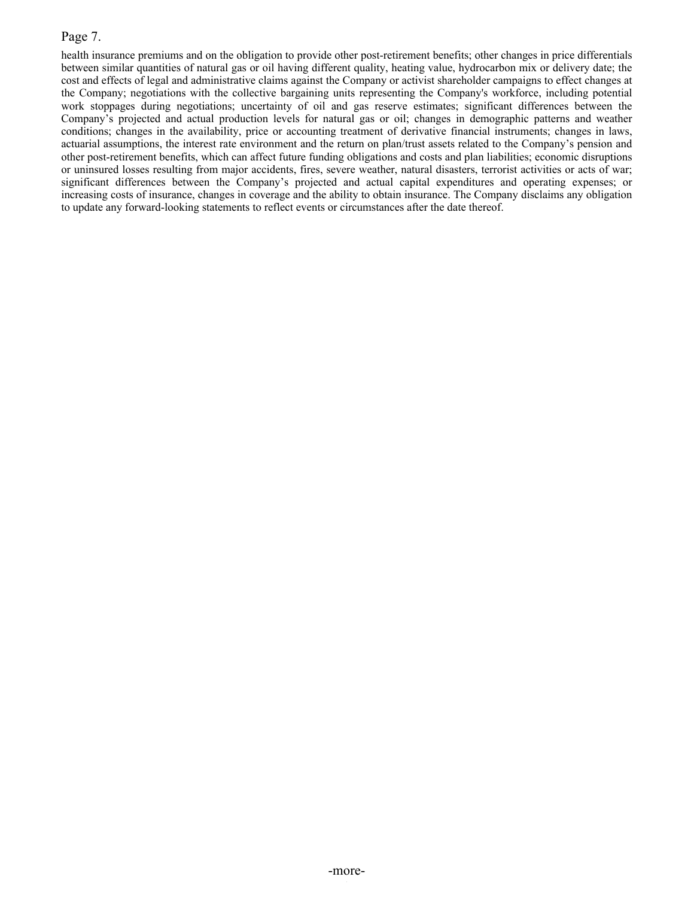## Page 7.

health insurance premiums and on the obligation to provide other post-retirement benefits; other changes in price differentials between similar quantities of natural gas or oil having different quality, heating value, hydrocarbon mix or delivery date; the cost and effects of legal and administrative claims against the Company or activist shareholder campaigns to effect changes at the Company; negotiations with the collective bargaining units representing the Company's workforce, including potential work stoppages during negotiations; uncertainty of oil and gas reserve estimates; significant differences between the Company's projected and actual production levels for natural gas or oil; changes in demographic patterns and weather conditions; changes in the availability, price or accounting treatment of derivative financial instruments; changes in laws, actuarial assumptions, the interest rate environment and the return on plan/trust assets related to the Company's pension and other post-retirement benefits, which can affect future funding obligations and costs and plan liabilities; economic disruptions or uninsured losses resulting from major accidents, fires, severe weather, natural disasters, terrorist activities or acts of war; significant differences between the Company's projected and actual capital expenditures and operating expenses; or increasing costs of insurance, changes in coverage and the ability to obtain insurance. The Company disclaims any obligation to update any forward-looking statements to reflect events or circumstances after the date thereof.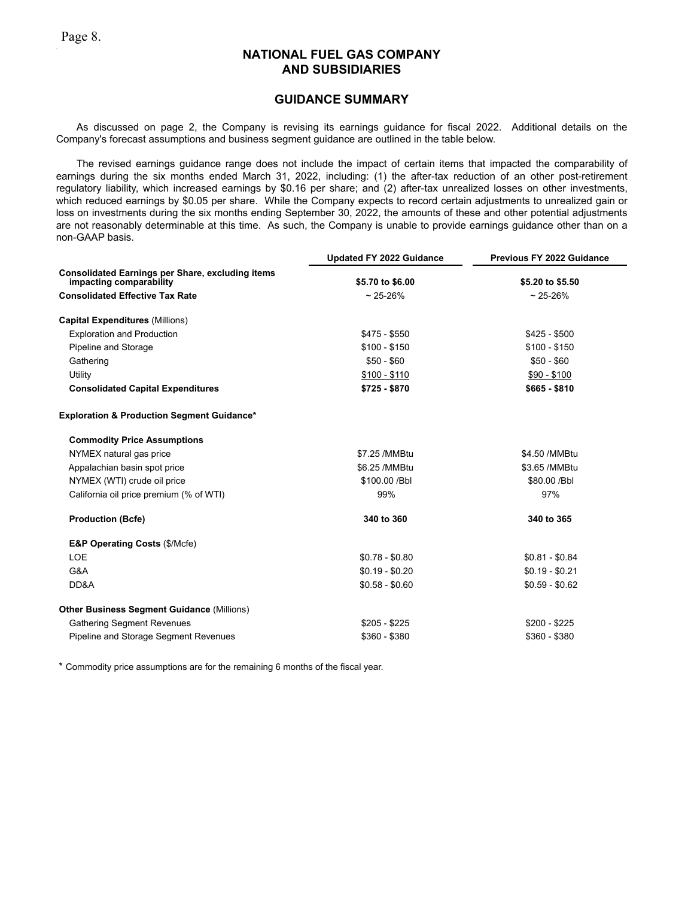### **GUIDANCE SUMMARY**

As discussed on page 2, the Company is revising its earnings guidance for fiscal 2022. Additional details on the Company's forecast assumptions and business segment guidance are outlined in the table below.

The revised earnings guidance range does not include the impact of certain items that impacted the comparability of earnings during the six months ended March 31, 2022, including: (1) the after-tax reduction of an other post-retirement regulatory liability, which increased earnings by \$0.16 per share; and (2) after-tax unrealized losses on other investments, which reduced earnings by \$0.05 per share. While the Company expects to record certain adjustments to unrealized gain or loss on investments during the six months ending September 30, 2022, the amounts of these and other potential adjustments are not reasonably determinable at this time. As such, the Company is unable to provide earnings guidance other than on a non-GAAP basis.

|                                                                                    | <b>Updated FY 2022 Guidance</b> | Previous FY 2022 Guidance |
|------------------------------------------------------------------------------------|---------------------------------|---------------------------|
| <b>Consolidated Earnings per Share, excluding items</b><br>impacting comparability | \$5.70 to \$6.00                | \$5.20 to \$5.50          |
| <b>Consolidated Effective Tax Rate</b>                                             | $~25 - 26%$                     | $~25 - 26%$               |
| <b>Capital Expenditures (Millions)</b>                                             |                                 |                           |
| <b>Exploration and Production</b>                                                  | $$475 - $550$                   | $$425 - $500$             |
| Pipeline and Storage                                                               | $$100 - $150$                   | $$100 - $150$             |
| Gathering                                                                          | $$50 - $60$                     | $$50 - $60$               |
| Utility                                                                            | $$100 - $110$                   | $$90 - $100$              |
| <b>Consolidated Capital Expenditures</b>                                           | \$725 - \$870                   | $$665 - $810$             |
| <b>Exploration &amp; Production Segment Guidance*</b>                              |                                 |                           |
| <b>Commodity Price Assumptions</b>                                                 |                                 |                           |
| NYMEX natural gas price                                                            | \$7.25 / MMBtu                  | \$4.50 / MMBtu            |
| Appalachian basin spot price                                                       | \$6.25 / MMBtu                  | \$3.65 / MMBtu            |
| NYMEX (WTI) crude oil price                                                        | \$100.00 / Bbl                  | \$80.00 / Bbl             |
| California oil price premium (% of WTI)                                            | 99%                             | 97%                       |
| <b>Production (Bcfe)</b>                                                           | 340 to 360                      | 340 to 365                |
| <b>E&amp;P Operating Costs (\$/Mcfe)</b>                                           |                                 |                           |
| <b>LOE</b>                                                                         | $$0.78 - $0.80$                 | $$0.81 - $0.84$           |
| G&A                                                                                | $$0.19 - $0.20$                 | $$0.19 - $0.21$           |
| DD&A                                                                               | $$0.58 - $0.60$                 | $$0.59 - $0.62$           |
| <b>Other Business Segment Guidance (Millions)</b>                                  |                                 |                           |
| <b>Gathering Segment Revenues</b>                                                  | $$205 - $225$                   | $$200 - $225$             |
| Pipeline and Storage Segment Revenues                                              | $$360 - $380$                   | $$360 - $380$             |

\* Commodity price assumptions are for the remaining 6 months of the fiscal year.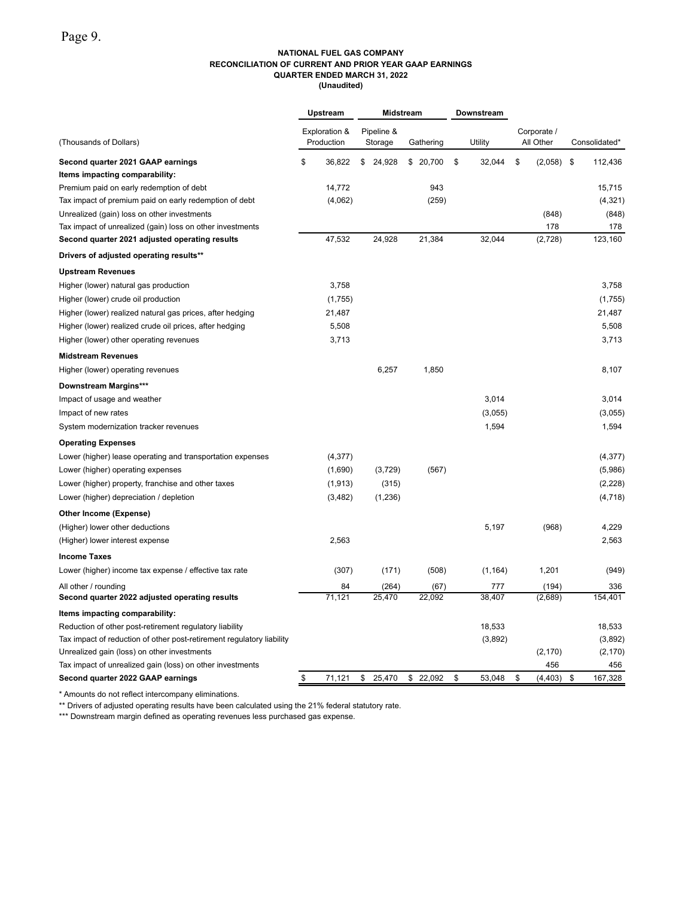## **NATIONAL FUEL GAS COMPANY RECONCILIATION OF CURRENT AND PRIOR YEAR GAAP EARNINGS QUARTER ENDED MARCH 31, 2022**

**(Unaudited)**

|                                                                       | Upstream      | Midstream |            |           |  |    | Downstream |                    |               |
|-----------------------------------------------------------------------|---------------|-----------|------------|-----------|--|----|------------|--------------------|---------------|
|                                                                       | Exploration & |           | Pipeline & |           |  |    |            | Corporate /        |               |
| (Thousands of Dollars)                                                | Production    |           | Storage    | Gathering |  |    | Utility    | All Other          | Consolidated* |
| Second quarter 2021 GAAP earnings                                     | \$<br>36,822  | \$        | 24,928     | \$20,700  |  | \$ | 32,044     | \$<br>$(2,058)$ \$ | 112,436       |
| Items impacting comparability:                                        |               |           |            |           |  |    |            |                    |               |
| Premium paid on early redemption of debt                              | 14,772        |           |            | 943       |  |    |            |                    | 15,715        |
| Tax impact of premium paid on early redemption of debt                | (4,062)       |           |            | (259)     |  |    |            |                    | (4, 321)      |
| Unrealized (gain) loss on other investments                           |               |           |            |           |  |    |            | (848)              | (848)         |
| Tax impact of unrealized (gain) loss on other investments             |               |           |            |           |  |    |            | 178                | 178           |
| Second quarter 2021 adjusted operating results                        | 47,532        |           | 24,928     | 21,384    |  |    | 32,044     | (2,728)            | 123,160       |
| Drivers of adjusted operating results**                               |               |           |            |           |  |    |            |                    |               |
| <b>Upstream Revenues</b>                                              |               |           |            |           |  |    |            |                    |               |
| Higher (lower) natural gas production                                 | 3,758         |           |            |           |  |    |            |                    | 3,758         |
| Higher (lower) crude oil production                                   | (1,755)       |           |            |           |  |    |            |                    | (1,755)       |
| Higher (lower) realized natural gas prices, after hedging             | 21,487        |           |            |           |  |    |            |                    | 21,487        |
| Higher (lower) realized crude oil prices, after hedging               | 5,508         |           |            |           |  |    |            |                    | 5,508         |
| Higher (lower) other operating revenues                               | 3,713         |           |            |           |  |    |            |                    | 3,713         |
| <b>Midstream Revenues</b>                                             |               |           |            |           |  |    |            |                    |               |
| Higher (lower) operating revenues                                     |               |           | 6,257      | 1,850     |  |    |            |                    | 8.107         |
| <b>Downstream Margins***</b>                                          |               |           |            |           |  |    |            |                    |               |
| Impact of usage and weather                                           |               |           |            |           |  |    | 3,014      |                    | 3,014         |
| Impact of new rates                                                   |               |           |            |           |  |    | (3,055)    |                    | (3,055)       |
| System modernization tracker revenues                                 |               |           |            |           |  |    | 1,594      |                    | 1,594         |
| <b>Operating Expenses</b>                                             |               |           |            |           |  |    |            |                    |               |
| Lower (higher) lease operating and transportation expenses            | (4, 377)      |           |            |           |  |    |            |                    | (4, 377)      |
| Lower (higher) operating expenses                                     | (1,690)       |           | (3,729)    | (567)     |  |    |            |                    | (5,986)       |
| Lower (higher) property, franchise and other taxes                    | (1, 913)      |           | (315)      |           |  |    |            |                    | (2,228)       |
| Lower (higher) depreciation / depletion                               | (3, 482)      |           | (1,236)    |           |  |    |            |                    | (4, 718)      |
| <b>Other Income (Expense)</b>                                         |               |           |            |           |  |    |            |                    |               |
| (Higher) lower other deductions                                       |               |           |            |           |  |    | 5,197      | (968)              | 4,229         |
| (Higher) lower interest expense                                       | 2,563         |           |            |           |  |    |            |                    | 2,563         |
| <b>Income Taxes</b>                                                   |               |           |            |           |  |    |            |                    |               |
| Lower (higher) income tax expense / effective tax rate                | (307)         |           | (171)      | (508)     |  |    | (1, 164)   | 1,201              | (949)         |
| All other / rounding                                                  | 84            |           | (264)      | (67)      |  |    | 777        | (194)              | 336           |
| Second quarter 2022 adjusted operating results                        | 71,121        |           | 25,470     | 22,092    |  |    | 38,407     | (2,689)            | 154,401       |
| Items impacting comparability:                                        |               |           |            |           |  |    |            |                    |               |
| Reduction of other post-retirement regulatory liability               |               |           |            |           |  |    | 18,533     |                    | 18,533        |
| Tax impact of reduction of other post-retirement regulatory liability |               |           |            |           |  |    | (3,892)    |                    | (3,892)       |
| Unrealized gain (loss) on other investments                           |               |           |            |           |  |    |            | (2, 170)           | (2, 170)      |
| Tax impact of unrealized gain (loss) on other investments             |               |           |            |           |  |    |            | 456                | 456           |
| Second quarter 2022 GAAP earnings                                     | \$<br>71,121  | \$        | 25,470     | \$22,092  |  | \$ | 53,048     | \$<br>(4, 403)     | \$<br>167,328 |

\* Amounts do not reflect intercompany eliminations.

\*\* Drivers of adjusted operating results have been calculated using the 21% federal statutory rate.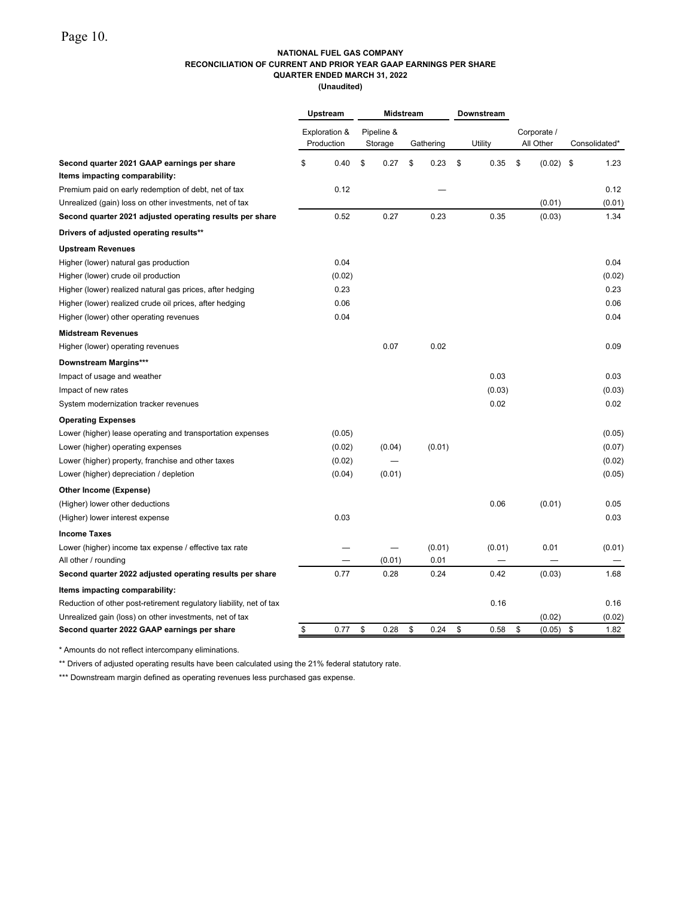#### **NATIONAL FUEL GAS COMPANY RECONCILIATION OF CURRENT AND PRIOR YEAR GAAP EARNINGS PER SHARE QUARTER ENDED MARCH 31, 2022**

**(Unaudited)**

|                                                                     | Upstream |                             | <b>Midstream</b> |                       |    |           |    | <b>Downstream</b> |                          |        |               |
|---------------------------------------------------------------------|----------|-----------------------------|------------------|-----------------------|----|-----------|----|-------------------|--------------------------|--------|---------------|
|                                                                     |          | Exploration &<br>Production |                  | Pipeline &<br>Storage |    | Gathering |    | Utility           | Corporate /<br>All Other |        | Consolidated* |
| Second quarter 2021 GAAP earnings per share                         | \$       | 0.40                        | \$               | 0.27                  | \$ | 0.23      | \$ | 0.35              | \$                       | (0.02) | \$<br>1.23    |
| Items impacting comparability:                                      |          |                             |                  |                       |    |           |    |                   |                          |        |               |
| Premium paid on early redemption of debt, net of tax                |          | 0.12                        |                  |                       |    |           |    |                   |                          |        | 0.12          |
| Unrealized (gain) loss on other investments, net of tax             |          |                             |                  |                       |    |           |    |                   |                          | (0.01) | (0.01)        |
| Second quarter 2021 adjusted operating results per share            |          | 0.52                        |                  | 0.27                  |    | 0.23      |    | 0.35              |                          | (0.03) | 1.34          |
| Drivers of adjusted operating results**                             |          |                             |                  |                       |    |           |    |                   |                          |        |               |
| <b>Upstream Revenues</b>                                            |          |                             |                  |                       |    |           |    |                   |                          |        |               |
| Higher (lower) natural gas production                               |          | 0.04                        |                  |                       |    |           |    |                   |                          |        | 0.04          |
| Higher (lower) crude oil production                                 |          | (0.02)                      |                  |                       |    |           |    |                   |                          |        | (0.02)        |
| Higher (lower) realized natural gas prices, after hedging           |          | 0.23                        |                  |                       |    |           |    |                   |                          |        | 0.23          |
| Higher (lower) realized crude oil prices, after hedging             |          | 0.06                        |                  |                       |    |           |    |                   |                          |        | 0.06          |
| Higher (lower) other operating revenues                             |          | 0.04                        |                  |                       |    |           |    |                   |                          |        | 0.04          |
| <b>Midstream Revenues</b>                                           |          |                             |                  |                       |    |           |    |                   |                          |        |               |
| Higher (lower) operating revenues                                   |          |                             |                  | 0.07                  |    | 0.02      |    |                   |                          |        | 0.09          |
| <b>Downstream Margins***</b>                                        |          |                             |                  |                       |    |           |    |                   |                          |        |               |
| Impact of usage and weather                                         |          |                             |                  |                       |    |           |    | 0.03              |                          |        | 0.03          |
| Impact of new rates                                                 |          |                             |                  |                       |    |           |    | (0.03)            |                          |        | (0.03)        |
| System modernization tracker revenues                               |          |                             |                  |                       |    |           |    | 0.02              |                          |        | 0.02          |
| <b>Operating Expenses</b>                                           |          |                             |                  |                       |    |           |    |                   |                          |        |               |
| Lower (higher) lease operating and transportation expenses          |          | (0.05)                      |                  |                       |    |           |    |                   |                          |        | (0.05)        |
| Lower (higher) operating expenses                                   |          | (0.02)                      |                  | (0.04)                |    | (0.01)    |    |                   |                          |        | (0.07)        |
| Lower (higher) property, franchise and other taxes                  |          | (0.02)                      |                  |                       |    |           |    |                   |                          |        | (0.02)        |
| Lower (higher) depreciation / depletion                             |          | (0.04)                      |                  | (0.01)                |    |           |    |                   |                          |        | (0.05)        |
| <b>Other Income (Expense)</b>                                       |          |                             |                  |                       |    |           |    |                   |                          |        |               |
| (Higher) lower other deductions                                     |          |                             |                  |                       |    |           |    | 0.06              |                          | (0.01) | 0.05          |
| (Higher) lower interest expense                                     |          | 0.03                        |                  |                       |    |           |    |                   |                          |        | 0.03          |
| <b>Income Taxes</b>                                                 |          |                             |                  |                       |    |           |    |                   |                          |        |               |
| Lower (higher) income tax expense / effective tax rate              |          |                             |                  |                       |    | (0.01)    |    | (0.01)            |                          | 0.01   | (0.01)        |
| All other / rounding                                                |          |                             |                  | (0.01)                |    | 0.01      |    |                   |                          |        |               |
| Second quarter 2022 adjusted operating results per share            |          | 0.77                        |                  | 0.28                  |    | 0.24      |    | 0.42              |                          | (0.03) | 1.68          |
| Items impacting comparability:                                      |          |                             |                  |                       |    |           |    |                   |                          |        |               |
| Reduction of other post-retirement regulatory liability, net of tax |          |                             |                  |                       |    |           |    | 0.16              |                          |        | 0.16          |
| Unrealized gain (loss) on other investments, net of tax             |          |                             |                  |                       |    |           |    |                   |                          | (0.02) | (0.02)        |
| Second quarter 2022 GAAP earnings per share                         | \$       | 0.77                        | \$               | 0.28                  | \$ | 0.24      | \$ | 0.58              | \$                       | (0.05) | \$<br>1.82    |

\* Amounts do not reflect intercompany eliminations.

\*\* Drivers of adjusted operating results have been calculated using the 21% federal statutory rate.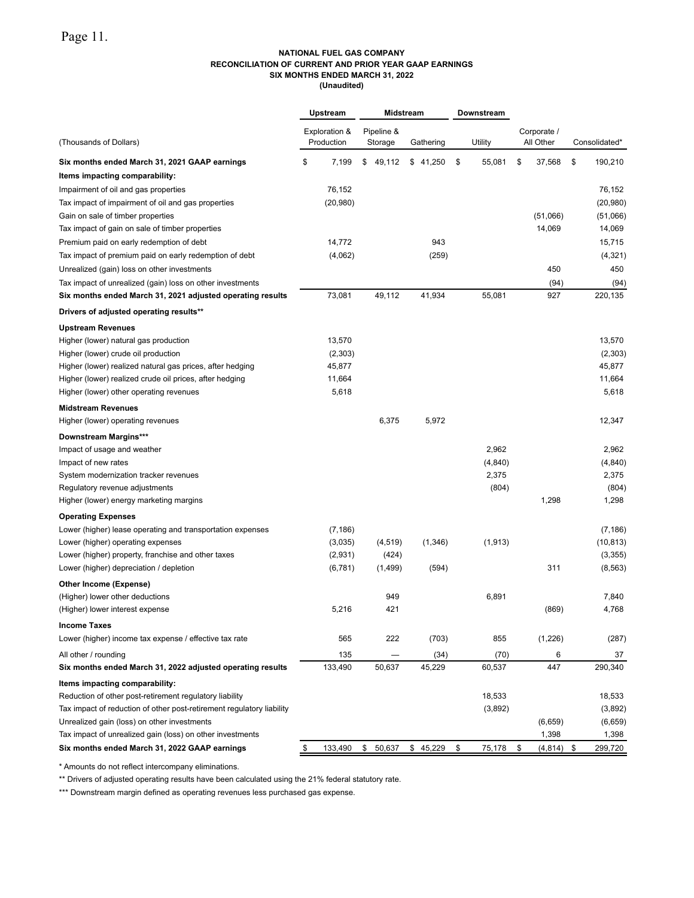#### **NATIONAL FUEL GAS COMPANY RECONCILIATION OF CURRENT AND PRIOR YEAR GAAP EARNINGS SIX MONTHS ENDED MARCH 31, 2022 (Unaudited)**

|                                                                       |    | Upstream      | Midstream |            |  |                       | Downstream   |              |               |
|-----------------------------------------------------------------------|----|---------------|-----------|------------|--|-----------------------|--------------|--------------|---------------|
|                                                                       |    | Exploration & |           | Pipeline & |  |                       |              | Corporate /  |               |
| (Thousands of Dollars)                                                |    | Production    |           | Storage    |  | Gathering             | Utility      | All Other    | Consolidated* |
| Six months ended March 31, 2021 GAAP earnings                         | \$ | 7,199         | \$        | 49,112     |  | \$41,250              | \$<br>55,081 | \$<br>37,568 | \$<br>190,210 |
| Items impacting comparability:                                        |    |               |           |            |  |                       |              |              |               |
| Impairment of oil and gas properties                                  |    | 76,152        |           |            |  |                       |              |              | 76,152        |
| Tax impact of impairment of oil and gas properties                    |    | (20, 980)     |           |            |  |                       |              |              | (20, 980)     |
| Gain on sale of timber properties                                     |    |               |           |            |  |                       |              | (51,066)     | (51,066)      |
| Tax impact of gain on sale of timber properties                       |    |               |           |            |  |                       |              | 14,069       | 14,069        |
| Premium paid on early redemption of debt                              |    | 14.772        |           |            |  | 943                   |              |              | 15,715        |
| Tax impact of premium paid on early redemption of debt                |    | (4,062)       |           |            |  | (259)                 |              |              | (4, 321)      |
| Unrealized (gain) loss on other investments                           |    |               |           |            |  |                       |              | 450          | 450           |
| Tax impact of unrealized (gain) loss on other investments             |    |               |           |            |  |                       |              | (94)         | (94)          |
| Six months ended March 31, 2021 adjusted operating results            |    | 73,081        |           | 49,112     |  | 41,934                | 55,081       | 927          | 220,135       |
| Drivers of adjusted operating results**                               |    |               |           |            |  |                       |              |              |               |
| <b>Upstream Revenues</b>                                              |    |               |           |            |  |                       |              |              |               |
| Higher (lower) natural gas production                                 |    | 13,570        |           |            |  |                       |              |              | 13,570        |
| Higher (lower) crude oil production                                   |    | (2,303)       |           |            |  |                       |              |              | (2,303)       |
| Higher (lower) realized natural gas prices, after hedging             |    | 45,877        |           |            |  |                       |              |              | 45,877        |
| Higher (lower) realized crude oil prices, after hedging               |    | 11,664        |           |            |  |                       |              |              | 11,664        |
| Higher (lower) other operating revenues                               |    | 5,618         |           |            |  |                       |              |              | 5,618         |
| <b>Midstream Revenues</b>                                             |    |               |           |            |  |                       |              |              |               |
| Higher (lower) operating revenues                                     |    |               |           | 6,375      |  | 5,972                 |              |              | 12,347        |
| <b>Downstream Margins***</b>                                          |    |               |           |            |  |                       |              |              |               |
| Impact of usage and weather                                           |    |               |           |            |  |                       | 2,962        |              | 2,962         |
| Impact of new rates                                                   |    |               |           |            |  |                       | (4, 840)     |              | (4, 840)      |
| System modernization tracker revenues                                 |    |               |           |            |  |                       | 2,375        |              | 2,375         |
| Regulatory revenue adjustments                                        |    |               |           |            |  |                       | (804)        |              | (804)         |
| Higher (lower) energy marketing margins                               |    |               |           |            |  |                       |              | 1,298        | 1,298         |
| <b>Operating Expenses</b>                                             |    |               |           |            |  |                       |              |              |               |
| Lower (higher) lease operating and transportation expenses            |    | (7, 186)      |           |            |  |                       |              |              | (7, 186)      |
| Lower (higher) operating expenses                                     |    | (3,035)       |           | (4, 519)   |  | (1,346)               | (1, 913)     |              | (10, 813)     |
| Lower (higher) property, franchise and other taxes                    |    | (2,931)       |           | (424)      |  |                       |              |              | (3,355)       |
| Lower (higher) depreciation / depletion                               |    | (6, 781)      |           | (1, 499)   |  | (594)                 |              | 311          | (8, 563)      |
| Other Income (Expense)                                                |    |               |           |            |  |                       |              |              |               |
| (Higher) lower other deductions                                       |    |               |           | 949        |  |                       | 6,891        |              | 7,840         |
| (Higher) lower interest expense                                       |    | 5,216         |           | 421        |  |                       |              | (869)        | 4,768         |
| <b>Income Taxes</b>                                                   |    |               |           |            |  |                       |              |              |               |
| Lower (higher) income tax expense / effective tax rate                |    | 565           |           | 222        |  | (703)                 | 855          | (1,226)      | (287)         |
| All other / rounding                                                  |    | 135           |           |            |  | (34)                  | (70)         | 6            | 37            |
| Six months ended March 31, 2022 adjusted operating results            |    | 133,490       |           | 50,637     |  | 45,229                | 60,537       | 447          | 290,340       |
| Items impacting comparability:                                        |    |               |           |            |  |                       |              |              |               |
| Reduction of other post-retirement regulatory liability               |    |               |           |            |  |                       | 18,533       |              | 18,533        |
| Tax impact of reduction of other post-retirement regulatory liability |    |               |           |            |  |                       | (3,892)      |              | (3,892)       |
| Unrealized gain (loss) on other investments                           |    |               |           |            |  |                       |              | (6,659)      | (6,659)       |
| Tax impact of unrealized gain (loss) on other investments             |    |               |           |            |  |                       |              | 1,398        | 1,398         |
| Six months ended March 31, 2022 GAAP earnings                         | \$ | 133,490       |           |            |  | $$50,637$ \$45,229 \$ | 75,178 \$    | $(4,814)$ \$ | 299,720       |

\* Amounts do not reflect intercompany eliminations.

\*\* Drivers of adjusted operating results have been calculated using the 21% federal statutory rate.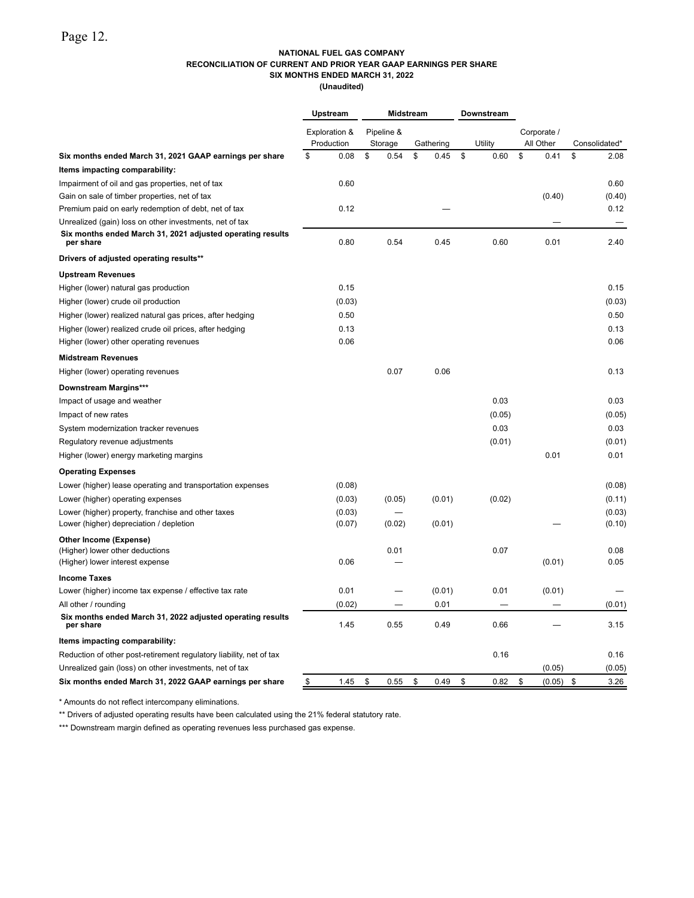#### **NATIONAL FUEL GAS COMPANY RECONCILIATION OF CURRENT AND PRIOR YEAR GAAP EARNINGS PER SHARE SIX MONTHS ENDED MARCH 31, 2022**

**(Unaudited)**

|                                                                         | Upstream<br>Midstream       |                       |    | Downstream |            |                          |               |
|-------------------------------------------------------------------------|-----------------------------|-----------------------|----|------------|------------|--------------------------|---------------|
|                                                                         | Exploration &<br>Production | Pipeline &<br>Storage |    | Gathering  | Utility    | Corporate /<br>All Other | Consolidated* |
| Six months ended March 31, 2021 GAAP earnings per share                 | \$<br>0.08                  | \$<br>0.54            | \$ | 0.45       | \$<br>0.60 | \$<br>0.41               | \$<br>2.08    |
| Items impacting comparability:                                          |                             |                       |    |            |            |                          |               |
| Impairment of oil and gas properties, net of tax                        | 0.60                        |                       |    |            |            |                          | 0.60          |
| Gain on sale of timber properties, net of tax                           |                             |                       |    |            |            | (0.40)                   | (0.40)        |
| Premium paid on early redemption of debt, net of tax                    | 0.12                        |                       |    |            |            |                          | 0.12          |
| Unrealized (gain) loss on other investments, net of tax                 |                             |                       |    |            |            |                          |               |
| Six months ended March 31, 2021 adjusted operating results<br>per share | 0.80                        | 0.54                  |    | 0.45       | 0.60       | 0.01                     | 2.40          |
| Drivers of adjusted operating results**                                 |                             |                       |    |            |            |                          |               |
| <b>Upstream Revenues</b>                                                |                             |                       |    |            |            |                          |               |
| Higher (lower) natural gas production                                   | 0.15                        |                       |    |            |            |                          | 0.15          |
| Higher (lower) crude oil production                                     | (0.03)                      |                       |    |            |            |                          | (0.03)        |
| Higher (lower) realized natural gas prices, after hedging               | 0.50                        |                       |    |            |            |                          | 0.50          |
| Higher (lower) realized crude oil prices, after hedging                 | 0.13                        |                       |    |            |            |                          | 0.13          |
| Higher (lower) other operating revenues                                 | 0.06                        |                       |    |            |            |                          | 0.06          |
| <b>Midstream Revenues</b>                                               |                             |                       |    |            |            |                          |               |
| Higher (lower) operating revenues                                       |                             | 0.07                  |    | 0.06       |            |                          | 0.13          |
| <b>Downstream Margins***</b>                                            |                             |                       |    |            |            |                          |               |
| Impact of usage and weather                                             |                             |                       |    |            | 0.03       |                          | 0.03          |
| Impact of new rates                                                     |                             |                       |    |            | (0.05)     |                          | (0.05)        |
| System modernization tracker revenues                                   |                             |                       |    |            | 0.03       |                          | 0.03          |
| Regulatory revenue adjustments                                          |                             |                       |    |            | (0.01)     |                          | (0.01)        |
| Higher (lower) energy marketing margins                                 |                             |                       |    |            |            | 0.01                     | 0.01          |
| <b>Operating Expenses</b>                                               |                             |                       |    |            |            |                          |               |
| Lower (higher) lease operating and transportation expenses              | (0.08)                      |                       |    |            |            |                          | (0.08)        |
| Lower (higher) operating expenses                                       | (0.03)                      | (0.05)                |    | (0.01)     | (0.02)     |                          | (0.11)        |
| Lower (higher) property, franchise and other taxes                      | (0.03)                      |                       |    |            |            |                          | (0.03)        |
| Lower (higher) depreciation / depletion                                 | (0.07)                      | (0.02)                |    | (0.01)     |            |                          | (0.10)        |
| Other Income (Expense)                                                  |                             |                       |    |            |            |                          |               |
| (Higher) lower other deductions                                         |                             | 0.01                  |    |            | 0.07       |                          | 0.08          |
| (Higher) lower interest expense                                         | 0.06                        |                       |    |            |            | (0.01)                   | 0.05          |
| <b>Income Taxes</b>                                                     |                             |                       |    |            |            |                          |               |
| Lower (higher) income tax expense / effective tax rate                  | 0.01                        |                       |    | (0.01)     | 0.01       | (0.01)                   |               |
| All other / rounding                                                    | (0.02)                      |                       |    | 0.01       |            |                          | (0.01)        |
| Six months ended March 31, 2022 adjusted operating results<br>per share | 1.45                        | 0.55                  |    | 0.49       | 0.66       |                          | 3.15          |
| Items impacting comparability:                                          |                             |                       |    |            |            |                          |               |
| Reduction of other post-retirement regulatory liability, net of tax     |                             |                       |    |            | 0.16       |                          | 0.16          |
| Unrealized gain (loss) on other investments, net of tax                 |                             |                       |    |            |            | (0.05)                   | (0.05)        |
| Six months ended March 31, 2022 GAAP earnings per share                 | 1.45<br>\$                  | \$<br>0.55            | \$ | 0.49       | \$<br>0.82 | \$<br>(0.05)             | \$<br>3.26    |

\* Amounts do not reflect intercompany eliminations.

\*\* Drivers of adjusted operating results have been calculated using the 21% federal statutory rate.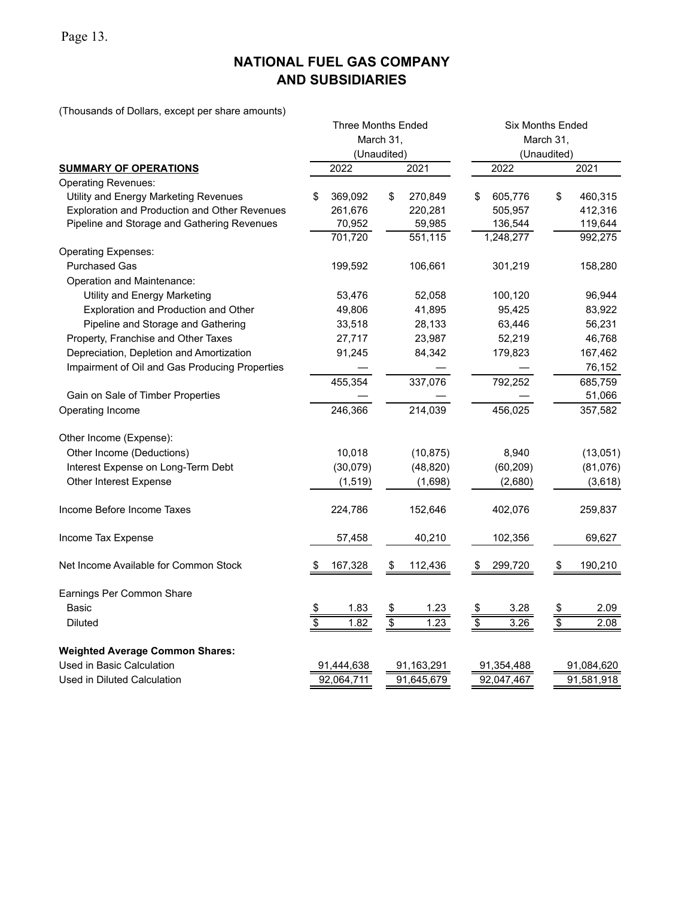Page 13.

# **NATIONAL FUEL GAS COMPANY AND SUBSIDIARIES**

(Thousands of Dollars, except per share amounts)

|                                                |                          | <b>Three Months Ended</b> |               |            | <b>Six Months Ended</b>  |            |               |            |  |  |  |  |
|------------------------------------------------|--------------------------|---------------------------|---------------|------------|--------------------------|------------|---------------|------------|--|--|--|--|
|                                                |                          |                           | March 31,     |            | March 31,                |            |               |            |  |  |  |  |
|                                                |                          |                           | (Unaudited)   |            | (Unaudited)              |            |               |            |  |  |  |  |
| <b>SUMMARY OF OPERATIONS</b>                   |                          | 2022                      |               | 2021       |                          | 2022       |               | 2021       |  |  |  |  |
| <b>Operating Revenues:</b>                     |                          |                           |               |            |                          |            |               |            |  |  |  |  |
| Utility and Energy Marketing Revenues          | \$                       | 369,092                   | \$            | 270,849    | \$                       | 605,776    | \$            | 460,315    |  |  |  |  |
| Exploration and Production and Other Revenues  |                          | 261,676                   |               | 220,281    |                          | 505,957    |               | 412,316    |  |  |  |  |
| Pipeline and Storage and Gathering Revenues    |                          | 70,952                    |               | 59,985     |                          | 136,544    |               | 119,644    |  |  |  |  |
|                                                |                          | 701,720                   |               | 551,115    |                          | 1,248,277  |               | 992,275    |  |  |  |  |
| <b>Operating Expenses:</b>                     |                          |                           |               |            |                          |            |               |            |  |  |  |  |
| <b>Purchased Gas</b>                           |                          | 199,592                   |               | 106,661    |                          | 301,219    |               | 158,280    |  |  |  |  |
| Operation and Maintenance:                     |                          |                           |               |            |                          |            |               |            |  |  |  |  |
| Utility and Energy Marketing                   |                          | 53,476                    |               | 52,058     |                          | 100,120    |               | 96,944     |  |  |  |  |
| Exploration and Production and Other           |                          | 49,806                    |               | 41,895     |                          | 95,425     |               | 83,922     |  |  |  |  |
| Pipeline and Storage and Gathering             |                          | 33,518                    |               | 28,133     |                          | 63,446     |               | 56,231     |  |  |  |  |
| Property, Franchise and Other Taxes            |                          | 27,717                    |               | 23,987     |                          | 52,219     |               | 46,768     |  |  |  |  |
| Depreciation, Depletion and Amortization       |                          | 91,245                    |               | 84,342     |                          | 179,823    |               | 167,462    |  |  |  |  |
| Impairment of Oil and Gas Producing Properties |                          |                           |               |            |                          |            |               | 76,152     |  |  |  |  |
|                                                |                          | 455,354                   |               | 337,076    |                          | 792,252    |               | 685,759    |  |  |  |  |
| Gain on Sale of Timber Properties              |                          |                           |               |            |                          |            |               | 51,066     |  |  |  |  |
| Operating Income                               |                          | 246,366                   |               | 214,039    |                          | 456,025    |               | 357,582    |  |  |  |  |
| Other Income (Expense):                        |                          |                           |               |            |                          |            |               |            |  |  |  |  |
| Other Income (Deductions)                      |                          | 10,018                    |               | (10, 875)  |                          | 8,940      |               | (13,051)   |  |  |  |  |
| Interest Expense on Long-Term Debt             |                          | (30,079)                  |               | (48, 820)  |                          | (60, 209)  |               | (81,076)   |  |  |  |  |
| Other Interest Expense                         |                          | (1, 519)                  |               | (1,698)    |                          | (2,680)    |               | (3,618)    |  |  |  |  |
| Income Before Income Taxes                     |                          | 224,786                   |               | 152,646    |                          | 402,076    |               | 259,837    |  |  |  |  |
| Income Tax Expense                             |                          | 57,458                    |               | 40,210     |                          | 102,356    |               | 69,627     |  |  |  |  |
| Net Income Available for Common Stock          |                          | 167,328                   | \$            | 112,436    |                          | 299,720    | \$            | 190,210    |  |  |  |  |
| Earnings Per Common Share                      |                          |                           |               |            |                          |            |               |            |  |  |  |  |
| <b>Basic</b>                                   |                          | 1.83                      | $\frac{3}{2}$ | 1.23       |                          | 3.28       | $\frac{3}{3}$ | 2.09       |  |  |  |  |
| <b>Diluted</b>                                 | $rac{1}{3}$              | 1.82                      |               | 1.23       | $\frac{\$}{\$}$          | 3.26       |               | 2.08       |  |  |  |  |
| <b>Weighted Average Common Shares:</b>         |                          |                           |               |            |                          |            |               |            |  |  |  |  |
| Used in Basic Calculation                      |                          | 91,444,638                |               | 91,163,291 |                          | 91,354,488 |               | 91,084,620 |  |  |  |  |
| Used in Diluted Calculation                    | 92,064,711<br>91,645,679 |                           |               |            | 92,047,467<br>91,581,918 |            |               |            |  |  |  |  |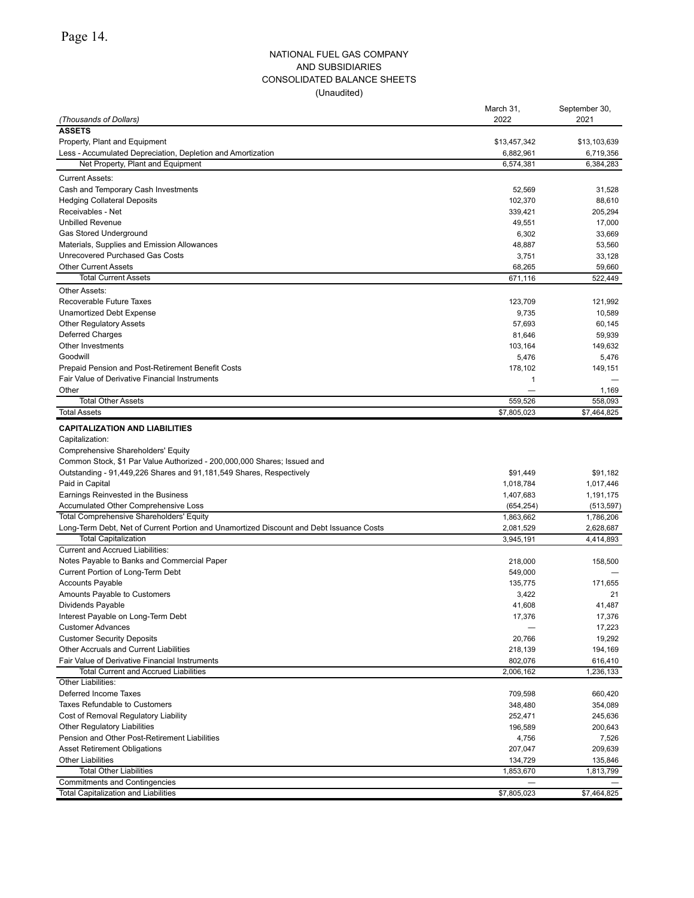### NATIONAL FUEL GAS COMPANY AND SUBSIDIARIES CONSOLIDATED BALANCE SHEETS (Unaudited)

|                                                                                         | March 31,    | September 30, |
|-----------------------------------------------------------------------------------------|--------------|---------------|
| (Thousands of Dollars)                                                                  | 2022         | 2021          |
| <b>ASSETS</b>                                                                           |              |               |
| Property, Plant and Equipment                                                           | \$13,457,342 | \$13,103,639  |
| Less - Accumulated Depreciation, Depletion and Amortization                             | 6,882,961    | 6,719,356     |
| Net Property, Plant and Equipment                                                       | 6,574,381    | 6,384,283     |
| <b>Current Assets:</b>                                                                  |              |               |
| Cash and Temporary Cash Investments                                                     | 52,569       | 31,528        |
| <b>Hedging Collateral Deposits</b>                                                      | 102,370      | 88,610        |
| Receivables - Net                                                                       | 339,421      | 205,294       |
| <b>Unbilled Revenue</b>                                                                 | 49,551       | 17,000        |
| Gas Stored Underground                                                                  | 6,302        | 33,669        |
| Materials, Supplies and Emission Allowances                                             | 48,887       | 53,560        |
| Unrecovered Purchased Gas Costs                                                         | 3,751        | 33,128        |
| <b>Other Current Assets</b>                                                             | 68,265       | 59,660        |
| <b>Total Current Assets</b>                                                             | 671,116      | 522,449       |
| <b>Other Assets:</b>                                                                    |              |               |
| Recoverable Future Taxes                                                                | 123,709      | 121,992       |
| Unamortized Debt Expense                                                                | 9,735        | 10,589        |
| <b>Other Regulatory Assets</b>                                                          | 57,693       | 60,145        |
| Deferred Charges                                                                        | 81,646       | 59,939        |
| Other Investments                                                                       | 103,164      | 149,632       |
| Goodwill                                                                                | 5,476        | 5,476         |
| Prepaid Pension and Post-Retirement Benefit Costs                                       | 178,102      | 149.151       |
| Fair Value of Derivative Financial Instruments                                          | 1            |               |
| Other                                                                                   |              | 1,169         |
| <b>Total Other Assets</b>                                                               | 559,526      | 558,093       |
| <b>Total Assets</b>                                                                     | \$7,805,023  | \$7,464,825   |
| <b>CAPITALIZATION AND LIABILITIES</b>                                                   |              |               |
| Capitalization:                                                                         |              |               |
| Comprehensive Shareholders' Equity                                                      |              |               |
| Common Stock, \$1 Par Value Authorized - 200,000,000 Shares; Issued and                 |              |               |
| Outstanding - 91,449,226 Shares and 91,181,549 Shares, Respectively                     | \$91,449     | \$91,182      |
| Paid in Capital                                                                         | 1,018,784    | 1,017,446     |
| Earnings Reinvested in the Business                                                     | 1,407,683    | 1,191,175     |
| Accumulated Other Comprehensive Loss                                                    | (654, 254)   | (513, 597)    |
| <b>Total Comprehensive Shareholders' Equity</b>                                         | 1,863,662    | 1,786,206     |
| Long-Term Debt, Net of Current Portion and Unamortized Discount and Debt Issuance Costs | 2,081,529    | 2,628,687     |
| <b>Total Capitalization</b>                                                             | 3,945,191    | 4,414,893     |
| <b>Current and Accrued Liabilities:</b>                                                 |              |               |
| Notes Payable to Banks and Commercial Paper                                             | 218,000      | 158,500       |
| Current Portion of Long-Term Debt                                                       | 549,000      |               |
| <b>Accounts Payable</b>                                                                 | 135,775      | 171,655       |
| Amounts Payable to Customers                                                            | 3,422        | 21            |
| Dividends Payable                                                                       | 41,608       | 41,487        |
| Interest Payable on Long-Term Debt                                                      | 17,376       | 17,376        |
| <b>Customer Advances</b>                                                                |              | 17,223        |
| <b>Customer Security Deposits</b>                                                       | 20,766       | 19,292        |
| Other Accruals and Current Liabilities                                                  | 218,139      | 194,169       |
| Fair Value of Derivative Financial Instruments                                          | 802,076      | 616,410       |
| <b>Total Current and Accrued Liabilities</b>                                            | 2,006,162    | 1,236,133     |
| Other Liabilities:                                                                      |              |               |
| Deferred Income Taxes                                                                   | 709,598      | 660,420       |
| <b>Taxes Refundable to Customers</b>                                                    | 348,480      | 354,089       |
| Cost of Removal Regulatory Liability                                                    | 252,471      | 245,636       |
| <b>Other Regulatory Liabilities</b>                                                     | 196,589      | 200,643       |
| Pension and Other Post-Retirement Liabilities                                           | 4,756        | 7,526         |
| <b>Asset Retirement Obligations</b>                                                     | 207,047      | 209,639       |
| <b>Other Liabilities</b>                                                                | 134,729      | 135,846       |
| <b>Total Other Liabilities</b>                                                          | 1,853,670    | 1,813,799     |
| <b>Commitments and Contingencies</b>                                                    |              |               |
| Total Capitalization and Liabilities                                                    | \$7,805,023  | \$7,464,825   |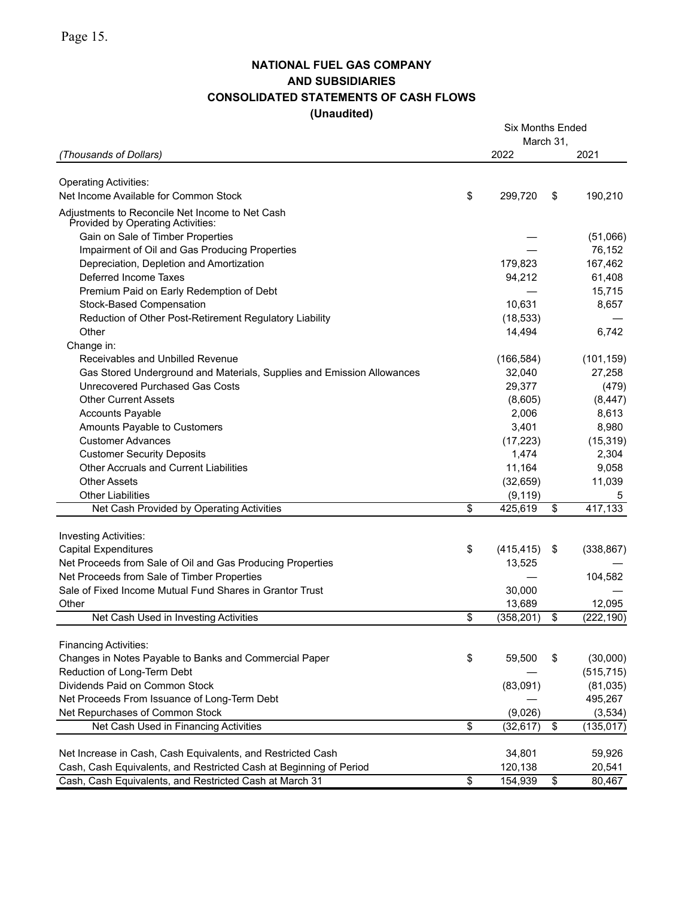## **NATIONAL FUEL GAS COMPANY AND SUBSIDIARIES CONSOLIDATED STATEMENTS OF CASH FLOWS (Unaudited)**

|                                                                                      |                 | <b>Six Months Ended</b> |                 |            |
|--------------------------------------------------------------------------------------|-----------------|-------------------------|-----------------|------------|
| (Thousands of Dollars)                                                               |                 | March 31,<br>2022       |                 | 2021       |
|                                                                                      |                 |                         |                 |            |
| <b>Operating Activities:</b>                                                         |                 |                         |                 |            |
| Net Income Available for Common Stock                                                | \$              | 299,720                 | \$              | 190,210    |
| Adjustments to Reconcile Net Income to Net Cash<br>Provided by Operating Activities: |                 |                         |                 |            |
| Gain on Sale of Timber Properties                                                    |                 |                         |                 | (51,066)   |
| Impairment of Oil and Gas Producing Properties                                       |                 |                         |                 | 76,152     |
| Depreciation, Depletion and Amortization                                             |                 | 179,823                 |                 | 167,462    |
| Deferred Income Taxes                                                                |                 | 94,212                  |                 | 61,408     |
| Premium Paid on Early Redemption of Debt                                             |                 |                         |                 | 15,715     |
| Stock-Based Compensation                                                             |                 | 10,631                  |                 | 8,657      |
| Reduction of Other Post-Retirement Regulatory Liability                              |                 | (18, 533)               |                 |            |
| Other                                                                                |                 | 14,494                  |                 | 6,742      |
| Change in:                                                                           |                 |                         |                 |            |
| Receivables and Unbilled Revenue                                                     |                 | (166, 584)              |                 | (101, 159) |
| Gas Stored Underground and Materials, Supplies and Emission Allowances               |                 | 32,040                  |                 | 27,258     |
| Unrecovered Purchased Gas Costs                                                      |                 | 29,377                  |                 | (479)      |
| <b>Other Current Assets</b>                                                          |                 | (8,605)                 |                 | (8, 447)   |
| <b>Accounts Payable</b>                                                              |                 | 2,006                   |                 | 8,613      |
| Amounts Payable to Customers                                                         |                 | 3,401                   |                 | 8,980      |
| <b>Customer Advances</b>                                                             |                 | (17, 223)               |                 | (15, 319)  |
| <b>Customer Security Deposits</b>                                                    |                 | 1,474                   |                 | 2,304      |
| <b>Other Accruals and Current Liabilities</b>                                        |                 | 11,164                  |                 | 9,058      |
| <b>Other Assets</b>                                                                  |                 | (32, 659)               |                 | 11,039     |
| <b>Other Liabilities</b>                                                             |                 | (9, 119)                |                 | 5          |
| Net Cash Provided by Operating Activities                                            | $\overline{\$}$ | 425,619                 | \$              | 417,133    |
|                                                                                      |                 |                         |                 |            |
| <b>Investing Activities:</b>                                                         |                 |                         |                 |            |
| <b>Capital Expenditures</b>                                                          | \$              | (415, 415)              | \$              | (338, 867) |
| Net Proceeds from Sale of Oil and Gas Producing Properties                           |                 | 13,525                  |                 |            |
| Net Proceeds from Sale of Timber Properties                                          |                 |                         |                 | 104,582    |
| Sale of Fixed Income Mutual Fund Shares in Grantor Trust                             |                 | 30,000                  |                 |            |
| Other                                                                                |                 | 13,689                  |                 | 12,095     |
| Net Cash Used in Investing Activities                                                | \$              | (358, 201)              | $\overline{\$}$ | (222, 190) |
| <b>Financing Activities:</b>                                                         |                 |                         |                 |            |
| Changes in Notes Payable to Banks and Commercial Paper                               | \$              | 59,500                  | \$              | (30,000)   |
| Reduction of Long-Term Debt                                                          |                 |                         |                 | (515, 715) |
| Dividends Paid on Common Stock                                                       |                 | (83,091)                |                 | (81, 035)  |
| Net Proceeds From Issuance of Long-Term Debt                                         |                 |                         |                 | 495,267    |
| Net Repurchases of Common Stock                                                      |                 | (9,026)                 |                 | (3,534)    |
| Net Cash Used in Financing Activities                                                | $\overline{\$}$ | (32, 617)               | $\overline{\$}$ | (135, 017) |
|                                                                                      |                 |                         |                 |            |
| Net Increase in Cash, Cash Equivalents, and Restricted Cash                          |                 | 34,801                  |                 | 59,926     |
| Cash, Cash Equivalents, and Restricted Cash at Beginning of Period                   |                 | 120,138                 |                 | 20,541     |
| Cash, Cash Equivalents, and Restricted Cash at March 31                              | $\overline{\$}$ | 154,939                 | $\overline{\$}$ | 80,467     |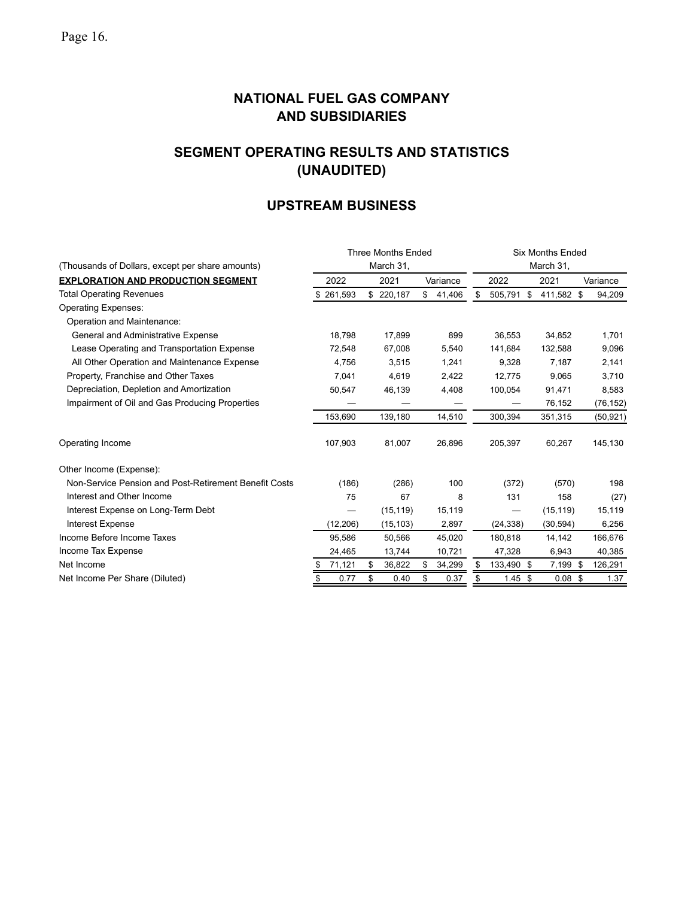# **SEGMENT OPERATING RESULTS AND STATISTICS (UNAUDITED)**

## **UPSTREAM BUSINESS**

|                                                       |           | <b>Three Months Ended</b> |              | <b>Six Months Ended</b> |            |            |           |           |  |  |
|-------------------------------------------------------|-----------|---------------------------|--------------|-------------------------|------------|------------|-----------|-----------|--|--|
| (Thousands of Dollars, except per share amounts)      |           | March 31,                 |              |                         |            |            |           |           |  |  |
| <b>EXPLORATION AND PRODUCTION SEGMENT</b>             | 2022      | 2021                      | Variance     | 2022                    |            | 2021       |           | Variance  |  |  |
| <b>Total Operating Revenues</b>                       | 261,593   | \$220,187                 | \$<br>41,406 | \$                      | 505,791 \$ | 411,582 \$ |           | 94,209    |  |  |
| <b>Operating Expenses:</b>                            |           |                           |              |                         |            |            |           |           |  |  |
| Operation and Maintenance:                            |           |                           |              |                         |            |            |           |           |  |  |
| General and Administrative Expense                    | 18,798    | 17,899                    | 899          |                         | 36,553     | 34,852     |           | 1,701     |  |  |
| Lease Operating and Transportation Expense            | 72,548    | 67,008                    | 5,540        |                         | 141,684    | 132,588    |           | 9,096     |  |  |
| All Other Operation and Maintenance Expense           | 4,756     | 3,515                     | 1,241        |                         | 9,328      | 7,187      |           | 2,141     |  |  |
| Property, Franchise and Other Taxes                   | 7,041     | 4,619                     | 2,422        |                         | 12,775     | 9,065      |           | 3,710     |  |  |
| Depreciation, Depletion and Amortization              | 50,547    | 46,139                    | 4,408        |                         | 100,054    | 91,471     |           | 8,583     |  |  |
| Impairment of Oil and Gas Producing Properties        |           |                           |              |                         |            | 76,152     |           | (76, 152) |  |  |
|                                                       | 153,690   | 139,180                   | 14,510       |                         | 300,394    | 351,315    |           | (50, 921) |  |  |
| Operating Income                                      | 107,903   | 81,007                    | 26,896       |                         | 205,397    | 60,267     |           | 145,130   |  |  |
| Other Income (Expense):                               |           |                           |              |                         |            |            |           |           |  |  |
| Non-Service Pension and Post-Retirement Benefit Costs | (186)     | (286)                     | 100          |                         | (372)      | (570)      |           | 198       |  |  |
| Interest and Other Income                             | 75        | 67                        | 8            |                         | 131        | 158        |           | (27)      |  |  |
| Interest Expense on Long-Term Debt                    |           | (15, 119)                 | 15,119       |                         |            | (15, 119)  |           | 15,119    |  |  |
| <b>Interest Expense</b>                               | (12, 206) | (15, 103)                 | 2,897        |                         | (24, 338)  | (30, 594)  |           | 6,256     |  |  |
| Income Before Income Taxes                            | 95,586    | 50,566                    | 45,020       |                         | 180,818    | 14,142     |           | 166,676   |  |  |
| Income Tax Expense                                    | 24,465    | 13,744                    | 10,721       |                         | 47,328     | 6,943      |           | 40,385    |  |  |
| Net Income                                            | 71,121    | 36,822<br>\$              | 34,299<br>\$ | æ.                      | 133,490 \$ | 7,199 \$   |           | 126,291   |  |  |
| Net Income Per Share (Diluted)                        | 0.77      | \$<br>0.40                | \$<br>0.37   |                         | $1.45$ \$  |            | $0.08$ \$ | 1.37      |  |  |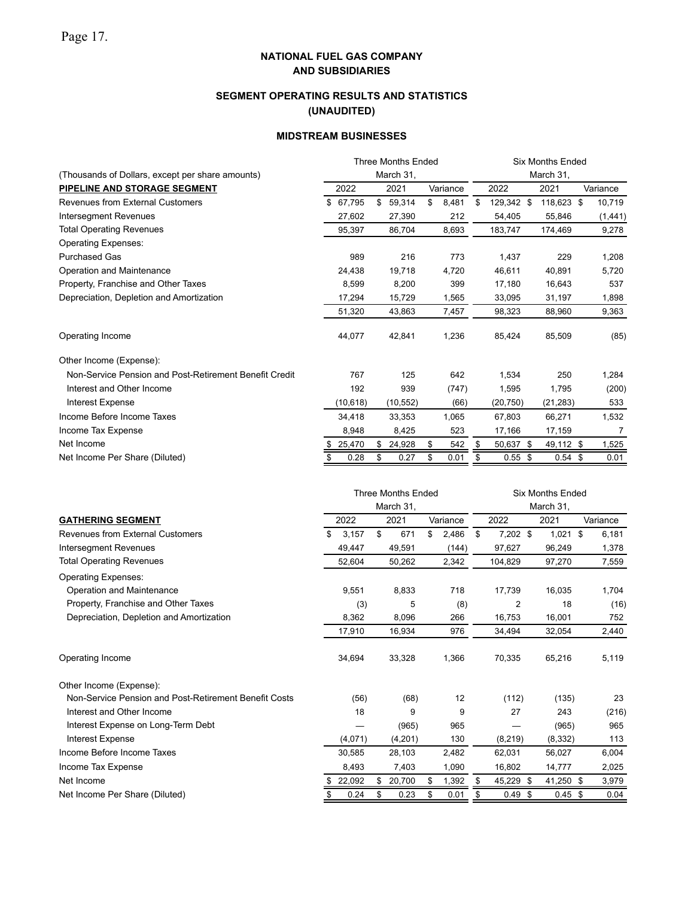## **SEGMENT OPERATING RESULTS AND STATISTICS (UNAUDITED)**

### **MIDSTREAM BUSINESSES**

|                                                        | <b>Three Months Ended</b>                                                      |           |    |           |    |          | <b>Six Months Ended</b> |            |  |            |  |          |  |
|--------------------------------------------------------|--------------------------------------------------------------------------------|-----------|----|-----------|----|----------|-------------------------|------------|--|------------|--|----------|--|
| (Thousands of Dollars, except per share amounts)       | March 31,                                                                      |           |    |           |    |          |                         | March 31,  |  |            |  |          |  |
| PIPELINE AND STORAGE SEGMENT                           |                                                                                | 2022      |    | 2021      |    | Variance |                         | 2022       |  | 2021       |  | Variance |  |
| <b>Revenues from External Customers</b>                | \$                                                                             | 67,795    | \$ | 59,314    | \$ | 8,481    | \$                      | 129,342 \$ |  | 118,623 \$ |  | 10,719   |  |
| <b>Intersegment Revenues</b>                           |                                                                                | 27,602    |    | 27,390    |    | 212      |                         | 54,405     |  | 55,846     |  | (1, 441) |  |
| <b>Total Operating Revenues</b>                        |                                                                                | 95,397    |    | 86,704    |    | 8,693    |                         | 183,747    |  | 174,469    |  | 9,278    |  |
| <b>Operating Expenses:</b>                             |                                                                                |           |    |           |    |          |                         |            |  |            |  |          |  |
| <b>Purchased Gas</b>                                   |                                                                                | 989       |    | 216       |    | 773      |                         | 1,437      |  | 229        |  | 1,208    |  |
| Operation and Maintenance                              |                                                                                | 24,438    |    | 19,718    |    | 4,720    |                         | 46,611     |  | 40,891     |  | 5,720    |  |
| Property, Franchise and Other Taxes                    |                                                                                | 8,599     |    | 8,200     |    | 399      |                         | 17,180     |  | 16,643     |  | 537      |  |
| Depreciation, Depletion and Amortization               |                                                                                | 17,294    |    | 15,729    |    | 1,565    |                         | 33,095     |  | 31,197     |  | 1,898    |  |
|                                                        |                                                                                | 51,320    |    | 43,863    |    | 7,457    |                         | 98,323     |  | 88,960     |  | 9,363    |  |
| Operating Income                                       |                                                                                | 44,077    |    | 42,841    |    | 1,236    |                         | 85,424     |  | 85,509     |  | (85)     |  |
| Other Income (Expense):                                |                                                                                |           |    |           |    |          |                         |            |  |            |  |          |  |
| Non-Service Pension and Post-Retirement Benefit Credit |                                                                                | 767       |    | 125       |    | 642      |                         | 1,534      |  | 250        |  | 1,284    |  |
| Interest and Other Income                              |                                                                                | 192       |    | 939       |    | (747)    |                         | 1,595      |  | 1,795      |  | (200)    |  |
| <b>Interest Expense</b>                                |                                                                                | (10, 618) |    | (10, 552) |    | (66)     |                         | (20, 750)  |  | (21, 283)  |  | 533      |  |
| Income Before Income Taxes                             |                                                                                | 34,418    |    | 33,353    |    | 1,065    |                         | 67,803     |  | 66,271     |  | 1,532    |  |
| Income Tax Expense                                     |                                                                                | 8,948     |    | 8,425     |    | 523      |                         | 17,166     |  | 17,159     |  | 7        |  |
| Net Income                                             | \$                                                                             | 25,470    |    | \$24,928  | \$ | 542      | \$                      | 50,637 \$  |  | 49,112 \$  |  | 1,525    |  |
| Net Income Per Share (Diluted)                         | \$                                                                             | 0.28      | \$ | 0.27      | \$ | 0.01     | \$                      | $0.55$ \$  |  | $0.54$ \$  |  | 0.01     |  |
|                                                        |                                                                                |           |    |           |    |          |                         |            |  |            |  |          |  |
|                                                        | <b>Three Months Ended</b><br><b>Six Months Ended</b><br>March 31,<br>March 31, |           |    |           |    |          |                         |            |  |            |  |          |  |
| <b>GATHERING SEGMENT</b>                               |                                                                                | 2022      |    | 2021      |    | Variance |                         | 2022       |  | 2021       |  | Variance |  |
| <b>Revenues from External Customers</b>                | \$                                                                             | 3,157     | \$ | 671       | \$ | 2,486    | \$                      | $7,202$ \$ |  | $1,021$ \$ |  | 6,181    |  |
| <b>Intersegment Revenues</b>                           |                                                                                | 49,447    |    | 49,591    |    | (144)    |                         | 97,627     |  | 96,249     |  | 1,378    |  |
| <b>Total Operating Revenues</b>                        |                                                                                | 52,604    |    | 50,262    |    | 2,342    |                         | 104,829    |  | 97,270     |  | 7,559    |  |
|                                                        |                                                                                |           |    |           |    |          |                         |            |  |            |  |          |  |

| Total Operating Revenues                              | 52,604  | 50,262        |   | 2,342 | 104,829        | 97,270           | 7,559 |
|-------------------------------------------------------|---------|---------------|---|-------|----------------|------------------|-------|
| <b>Operating Expenses:</b>                            |         |               |   |       |                |                  |       |
| Operation and Maintenance                             | 9,551   | 8,833         |   | 718   | 17,739         | 16,035           | 1,704 |
| Property, Franchise and Other Taxes                   | (3)     |               | 5 | (8)   | $\overline{2}$ | 18               | (16)  |
| Depreciation, Depletion and Amortization              | 8,362   | 8,096         |   | 266   | 16,753         | 16,001           | 752   |
|                                                       | 17,910  | 16,934        |   | 976   | 34,494         | 32,054           | 2,440 |
| Operating Income                                      | 34,694  | 33,328        |   | 1,366 | 70,335         | 65,216           | 5,119 |
| Other Income (Expense):                               |         |               |   |       |                |                  |       |
| Non-Service Pension and Post-Retirement Benefit Costs | (56)    | (68)          |   | 12    | (112)          | (135)            | 23    |
| Interest and Other Income                             | 18      |               | 9 | 9     | 27             | 243              | (216) |
| Interest Expense on Long-Term Debt                    |         | (965)         |   | 965   |                | (965)            | 965   |
| Interest Expense                                      | (4,071) | (4,201)       |   | 130   | (8,219)        | (8, 332)         | 113   |
| Income Before Income Taxes                            | 30,585  | 28,103        |   | 2,482 | 62,031         | 56,027           | 6,004 |
| Income Tax Expense                                    | 8,493   | 7,403         |   | 1,090 | 16,802         | 14,777           | 2,025 |
| Net Income                                            | 22,092  | 20,700<br>\$. |   | 1,392 | 45,229<br>S    | 41,250 \$        | 3,979 |
| Net Income Per Share (Diluted)                        | 0.24    | 0.23<br>\$    |   | 0.01  | 0.49           | $0.45$ \$<br>\$. | 0.04  |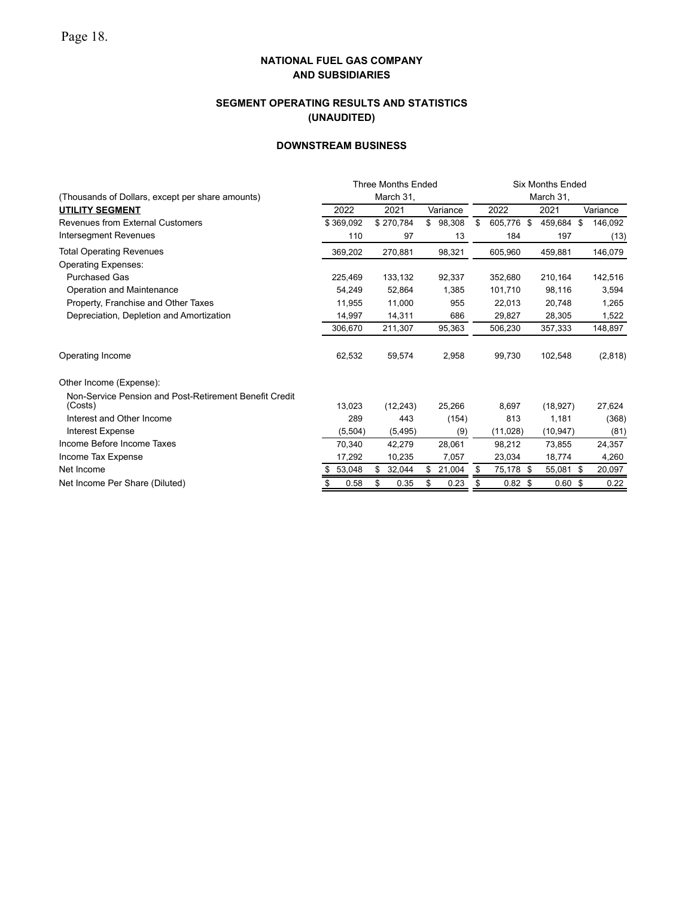## **SEGMENT OPERATING RESULTS AND STATISTICS (UNAUDITED)**

## **DOWNSTREAM BUSINESS**

|                                                                   |           | <b>Three Months Ended</b> |              | <b>Six Months Ended</b> |            |          |  |  |  |
|-------------------------------------------------------------------|-----------|---------------------------|--------------|-------------------------|------------|----------|--|--|--|
| (Thousands of Dollars, except per share amounts)                  |           | March 31,                 |              | March 31,               |            |          |  |  |  |
| <b>UTILITY SEGMENT</b>                                            | 2022      | 2021                      | Variance     | 2022                    | 2021       | Variance |  |  |  |
| <b>Revenues from External Customers</b>                           | \$369.092 | \$270,784                 | \$<br>98,308 | \$<br>605.776 \$        | 459.684 \$ | 146,092  |  |  |  |
| Intersegment Revenues                                             | 110       | 97                        | 13           | 184                     | 197        | (13)     |  |  |  |
| <b>Total Operating Revenues</b>                                   | 369,202   | 270,881                   | 98,321       | 605.960                 | 459,881    | 146,079  |  |  |  |
| <b>Operating Expenses:</b>                                        |           |                           |              |                         |            |          |  |  |  |
| <b>Purchased Gas</b>                                              | 225,469   | 133,132                   | 92,337       | 352,680                 | 210,164    | 142,516  |  |  |  |
| Operation and Maintenance                                         | 54,249    | 52,864                    | 1,385        | 101,710                 | 98,116     | 3,594    |  |  |  |
| Property, Franchise and Other Taxes                               | 11,955    | 11,000                    | 955          | 22,013                  | 20,748     | 1,265    |  |  |  |
| Depreciation, Depletion and Amortization                          | 14,997    | 14,311                    | 686          | 29,827                  | 28,305     | 1,522    |  |  |  |
|                                                                   | 306,670   | 211,307                   | 95,363       | 506,230                 | 357,333    | 148,897  |  |  |  |
| Operating Income                                                  | 62,532    | 59,574                    | 2,958        | 99,730                  | 102,548    | (2,818)  |  |  |  |
| Other Income (Expense):                                           |           |                           |              |                         |            |          |  |  |  |
| Non-Service Pension and Post-Retirement Benefit Credit<br>(Costs) | 13,023    | (12, 243)                 | 25,266       | 8,697                   | (18, 927)  | 27,624   |  |  |  |
| Interest and Other Income                                         | 289       | 443                       | (154)        | 813                     | 1,181      | (368)    |  |  |  |
| <b>Interest Expense</b>                                           | (5,504)   | (5, 495)                  | (9)          | (11,028)                | (10, 947)  | (81)     |  |  |  |
| Income Before Income Taxes                                        | 70,340    | 42,279                    | 28,061       | 98,212                  | 73,855     | 24,357   |  |  |  |
| Income Tax Expense                                                | 17,292    | 10,235                    | 7,057        | 23,034                  | 18,774     | 4,260    |  |  |  |
| Net Income                                                        | 53,048    | 32,044<br>\$              | 21,004<br>S  | 75,178 \$<br>\$         | 55,081 \$  | 20,097   |  |  |  |
| Net Income Per Share (Diluted)                                    | 0.58      | \$<br>0.35                | 0.23<br>S    | $0.82 \text{ } $$<br>S  | 0.60~\$    | 0.22     |  |  |  |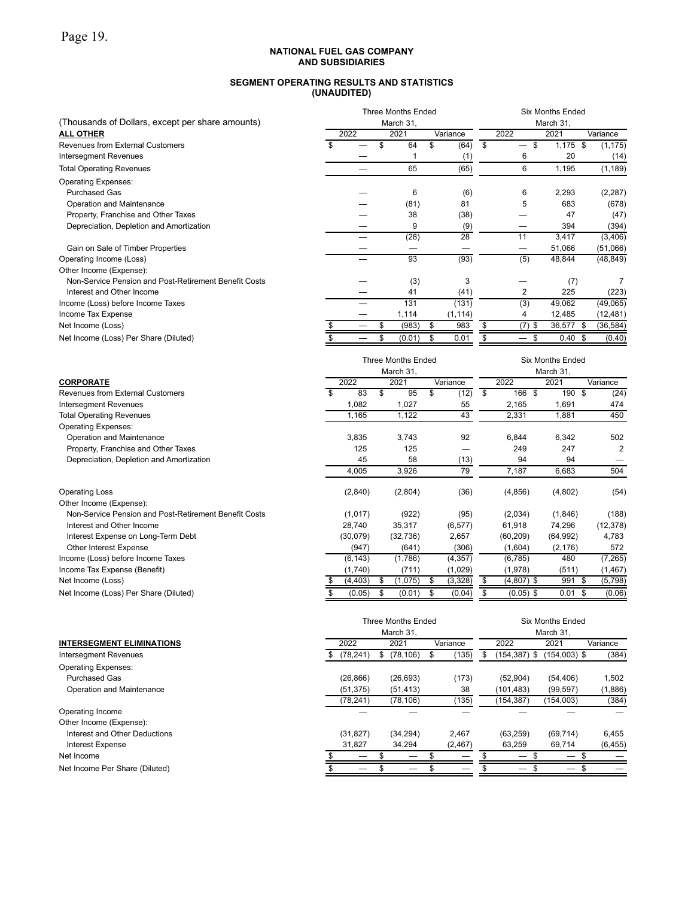#### **SEGMENT OPERATING RESULTS AND STATISTICS (UNAUDITED)**

| (Thousands of Dollars, except per share amounts)      |      | <b>Three Months Ended</b><br>March 31, | <b>Six Months Ended</b><br>March 31, |          |            |               |  |  |
|-------------------------------------------------------|------|----------------------------------------|--------------------------------------|----------|------------|---------------|--|--|
| <b>ALL OTHER</b>                                      | 2022 | 2021                                   | Variance                             | 2022     | 2021       | Variance      |  |  |
| Revenues from External Customers                      |      | \$<br>64                               | (64)                                 | \$<br>\$ | $1,175$ \$ | (1, 175)      |  |  |
| Intersegment Revenues                                 |      |                                        | (1)                                  | 6        | 20         | (14)          |  |  |
| <b>Total Operating Revenues</b>                       |      | 65                                     | (65)                                 | 6        | 1,195      | (1, 189)      |  |  |
| <b>Operating Expenses:</b>                            |      |                                        |                                      |          |            |               |  |  |
| <b>Purchased Gas</b>                                  |      | 6                                      | (6)                                  | 6        | 2,293      | (2, 287)      |  |  |
| Operation and Maintenance                             |      | (81)                                   | 81                                   | 5        | 683        | (678)         |  |  |
| Property, Franchise and Other Taxes                   |      | 38                                     | (38)                                 |          | 47         | (47)          |  |  |
| Depreciation, Depletion and Amortization              |      | 9                                      | (9)                                  |          | 394        | (394)         |  |  |
|                                                       |      | (28)                                   | 28                                   | 11       | 3,417      | (3, 406)      |  |  |
| Gain on Sale of Timber Properties                     |      |                                        |                                      |          | 51,066     | (51,066)      |  |  |
| Operating Income (Loss)                               |      | 93                                     | (93)                                 | (5)      | 48,844     | (48, 849)     |  |  |
| Other Income (Expense):                               |      |                                        |                                      |          |            |               |  |  |
| Non-Service Pension and Post-Retirement Benefit Costs |      | (3)                                    | 3                                    |          | (7)        |               |  |  |
| Interest and Other Income                             |      | 41                                     | (41)                                 | 2        | 225        | (223)         |  |  |
| Income (Loss) before Income Taxes                     |      | 131                                    | (131)                                | (3)      | 49,062     | (49,065)      |  |  |
| Income Tax Expense                                    |      | 1,114                                  | (1, 114)                             |          | 12,485     | (12, 481)     |  |  |
| Net Income (Loss)                                     |      | (983)                                  | 983<br>\$                            | $(7)$ \$ | 36,577     | (36,584)<br>S |  |  |
| Net Income (Loss) Per Share (Diluted)                 |      | (0.01)                                 | 0.01                                 |          | 0.40~\$    | (0.40)        |  |  |

|                                                       |          |    | <b>Three Months Ended</b> |  | <b>Six Months Ended</b> |    |              |  |           |    |           |
|-------------------------------------------------------|----------|----|---------------------------|--|-------------------------|----|--------------|--|-----------|----|-----------|
|                                                       |          |    | March 31,                 |  |                         |    |              |  | March 31, |    |           |
| <b>CORPORATE</b>                                      | 2022     |    | 2021                      |  | Variance                |    | 2022         |  | 2021      |    | Variance  |
| Revenues from External Customers                      | 83       | \$ | 95                        |  | (12)                    | \$ | 166 \$       |  | 190 \$    |    | (24)      |
| <b>Intersegment Revenues</b>                          | 1,082    |    | 1,027                     |  | 55                      |    | 2,165        |  | 1,691     |    | 474       |
| <b>Total Operating Revenues</b>                       | 1,165    |    | 1,122                     |  | 43                      |    | 2,331        |  | 1,881     |    | 450       |
| <b>Operating Expenses:</b>                            |          |    |                           |  |                         |    |              |  |           |    |           |
| Operation and Maintenance                             | 3,835    |    | 3,743                     |  | 92                      |    | 6,844        |  | 6,342     |    | 502       |
| Property, Franchise and Other Taxes                   | 125      |    | 125                       |  |                         |    | 249          |  | 247       |    | 2         |
| Depreciation, Depletion and Amortization              | 45       |    | 58                        |  | (13)                    |    | 94           |  | 94        |    |           |
|                                                       | 4,005    |    | 3,926                     |  | 79                      |    | 7,187        |  | 6,683     |    | 504       |
| <b>Operating Loss</b>                                 | (2,840)  |    | (2,804)                   |  | (36)                    |    | (4, 856)     |  | (4,802)   |    | (54)      |
| Other Income (Expense):                               |          |    |                           |  |                         |    |              |  |           |    |           |
| Non-Service Pension and Post-Retirement Benefit Costs | (1,017)  |    | (922)                     |  | (95)                    |    | (2,034)      |  | (1,846)   |    | (188)     |
| Interest and Other Income                             | 28,740   |    | 35,317                    |  | (6, 577)                |    | 61,918       |  | 74,296    |    | (12, 378) |
| Interest Expense on Long-Term Debt                    | (30,079) |    | (32, 736)                 |  | 2,657                   |    | (60, 209)    |  | (64, 992) |    | 4,783     |
| Other Interest Expense                                | (947)    |    | (641)                     |  | (306)                   |    | (1,604)      |  | (2, 176)  |    | 572       |
| Income (Loss) before Income Taxes                     | (6, 143) |    | (1,786)                   |  | (4, 357)                |    | (6, 785)     |  | 480       |    | (7, 265)  |
| Income Tax Expense (Benefit)                          | (1,740)  |    | (711)                     |  | (1,029)                 |    | (1,978)      |  | (511)     |    | (1, 467)  |
| Net Income (Loss)                                     | (4, 403) | S  | (1,075)                   |  | (3,328)                 | \$ | $(4,807)$ \$ |  | 991       | \$ | (5,798)   |
| Net Income (Loss) Per Share (Diluted)                 | (0.05)   | S  | (0.01)                    |  | (0.04)                  |    | $(0.05)$ \$  |  | $0.01$ \$ |    | (0.06)    |

|                                  |      |           |      | <b>Three Months Ended</b> | <b>Six Months Ended</b> |  |              |                |          |  |
|----------------------------------|------|-----------|------|---------------------------|-------------------------|--|--------------|----------------|----------|--|
|                                  |      |           |      | March 31,                 |                         |  |              | March 31,      |          |  |
| <b>INTERSEGMENT ELIMINATIONS</b> | 2022 |           | 2021 |                           | Variance                |  | 2022         | 2021           | Variance |  |
| <b>Intersegment Revenues</b>     | S.   | (78, 241) | \$   | (78, 106)                 | (135)                   |  | (154,387) \$ | $(154,003)$ \$ | (384)    |  |
| <b>Operating Expenses:</b>       |      |           |      |                           |                         |  |              |                |          |  |
| <b>Purchased Gas</b>             |      | (26, 866) |      | (26, 693)                 | (173)                   |  | (52,904)     | (54, 406)      | 1,502    |  |
| Operation and Maintenance        |      | (51, 375) |      | (51, 413)                 | 38                      |  | (101, 483)   | (99, 597)      | (1,886)  |  |
|                                  |      | (78, 241) |      | (78, 106)                 | (135)                   |  | (154, 387)   | (154,003)      | (384)    |  |
| Operating Income                 |      |           |      |                           |                         |  |              |                |          |  |
| Other Income (Expense):          |      |           |      |                           |                         |  |              |                |          |  |
| Interest and Other Deductions    |      | (31, 827) |      | (34, 294)                 | 2,467                   |  | (63, 259)    | (69, 714)      | 6,455    |  |
| Interest Expense                 |      | 31,827    |      | 34.294                    | (2, 467)                |  | 63,259       | 69,714         | (6, 455) |  |
| Net Income                       |      |           |      |                           |                         |  |              |                |          |  |
| Net Income Per Share (Diluted)   |      |           |      |                           |                         |  |              |                |          |  |
|                                  |      |           |      |                           |                         |  |              |                |          |  |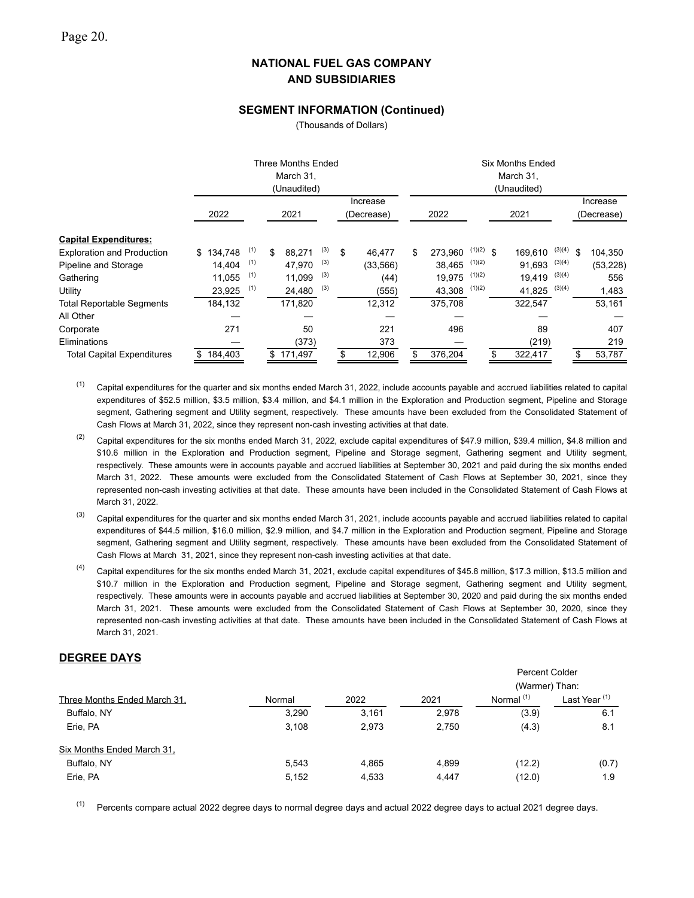### **SEGMENT INFORMATION (Continued)**

(Thousands of Dollars)

|                                                                                   |                                         | Three Months Ended<br>March 31.<br>(Unaudited) |                                |                                      |                          |    |                                      | <b>Six Months Ended</b><br>March 31,<br>(Unaudited) |                                       |                                           |      |                                       |                                      |                        |                                      |
|-----------------------------------------------------------------------------------|-----------------------------------------|------------------------------------------------|--------------------------------|--------------------------------------|--------------------------|----|--------------------------------------|-----------------------------------------------------|---------------------------------------|-------------------------------------------|------|---------------------------------------|--------------------------------------|------------------------|--------------------------------------|
|                                                                                   | 2022                                    |                                                | Increase<br>2021<br>(Decrease) |                                      |                          |    |                                      | 2022                                                |                                       |                                           | 2021 |                                       |                                      | Increase<br>(Decrease) |                                      |
| <b>Capital Expenditures:</b>                                                      |                                         |                                                |                                |                                      |                          |    |                                      |                                                     |                                       |                                           |      |                                       |                                      |                        |                                      |
| <b>Exploration and Production</b><br>Pipeline and Storage<br>Gathering<br>Utility | \$134,748<br>14.404<br>11,055<br>23,925 | (1)<br>(1)<br>(1)<br>(1)                       | \$                             | 88,271<br>47.970<br>11,099<br>24,480 | (3)<br>(3)<br>(3)<br>(3) | \$ | 46.477<br>(33, 566)<br>(44)<br>(555) | \$                                                  | 273.960<br>38.465<br>19,975<br>43,308 | $(1)(2)$ \$<br>(1)(2)<br>(1)(2)<br>(1)(2) |      | 169.610<br>91.693<br>19,419<br>41,825 | (3)(4)<br>(3)(4)<br>(3)(4)<br>(3)(4) | \$                     | 104,350<br>(53, 228)<br>556<br>1,483 |
| <b>Total Reportable Segments</b>                                                  | 184,132                                 |                                                |                                | 171,820                              |                          |    | 12,312                               |                                                     | 375,708                               |                                           |      | 322,547                               |                                      |                        | 53,161                               |
| All Other                                                                         |                                         |                                                |                                |                                      |                          |    |                                      |                                                     |                                       |                                           |      |                                       |                                      |                        |                                      |
| Corporate                                                                         | 271                                     |                                                |                                | 50                                   |                          |    | 221                                  |                                                     | 496                                   |                                           |      | 89                                    |                                      |                        | 407                                  |
| Eliminations                                                                      |                                         |                                                |                                | (373)                                |                          |    | 373                                  |                                                     |                                       |                                           |      | (219)                                 |                                      |                        | 219                                  |
| <b>Total Capital Expenditures</b>                                                 | \$184,403                               |                                                | \$                             | 171,497                              |                          | \$ | 12,906                               |                                                     | 376,204                               |                                           |      | 322,417                               |                                      | \$                     | 53,787                               |

 $(1)$  Capital expenditures for the quarter and six months ended March 31, 2022, include accounts payable and accrued liabilities related to capital expenditures of \$52.5 million, \$3.5 million, \$3.4 million, and \$4.1 million in the Exploration and Production segment, Pipeline and Storage segment, Gathering segment and Utility segment, respectively. These amounts have been excluded from the Consolidated Statement of Cash Flows at March 31, 2022, since they represent non-cash investing activities at that date.

<sup>(2)</sup> Capital expenditures for the six months ended March 31, 2022, exclude capital expenditures of \$47.9 million, \$39.4 million, \$4.8 million and \$10.6 million in the Exploration and Production segment, Pipeline and Storage segment, Gathering segment and Utility segment, respectively. These amounts were in accounts payable and accrued liabilities at September 30, 2021 and paid during the six months ended March 31, 2022. These amounts were excluded from the Consolidated Statement of Cash Flows at September 30, 2021, since they represented non-cash investing activities at that date. These amounts have been included in the Consolidated Statement of Cash Flows at March 31, 2022.

 $^{(3)}$  Capital expenditures for the quarter and six months ended March 31, 2021, include accounts payable and accrued liabilities related to capital expenditures of \$44.5 million, \$16.0 million, \$2.9 million, and \$4.7 million in the Exploration and Production segment, Pipeline and Storage segment, Gathering segment and Utility segment, respectively. These amounts have been excluded from the Consolidated Statement of Cash Flows at March 31, 2021, since they represent non-cash investing activities at that date.

<sup>(4)</sup> Capital expenditures for the six months ended March 31, 2021, exclude capital expenditures of \$45.8 million, \$17.3 million, \$13.5 million and \$10.7 million in the Exploration and Production segment, Pipeline and Storage segment, Gathering segment and Utility segment, respectively. These amounts were in accounts payable and accrued liabilities at September 30, 2020 and paid during the six months ended March 31, 2021. These amounts were excluded from the Consolidated Statement of Cash Flows at September 30, 2020, since they represented non-cash investing activities at that date. These amounts have been included in the Consolidated Statement of Cash Flows at March 31, 2021.

## **DEGREE DAYS**

|                              |        |       |       | <b>Percent Colder</b> |                          |  |  |  |  |
|------------------------------|--------|-------|-------|-----------------------|--------------------------|--|--|--|--|
|                              |        |       |       |                       | (Warmer) Than:           |  |  |  |  |
| Three Months Ended March 31. | Normal | 2022  | 2021  | Normal <sup>(1)</sup> | Last Year <sup>(1)</sup> |  |  |  |  |
| Buffalo, NY                  | 3.290  | 3.161 | 2,978 | (3.9)                 | 6.1                      |  |  |  |  |
| Erie, PA                     | 3,108  | 2,973 | 2,750 | (4.3)                 | 8.1                      |  |  |  |  |
| Six Months Ended March 31.   |        |       |       |                       |                          |  |  |  |  |
| Buffalo, NY                  | 5,543  | 4.865 | 4,899 | (12.2)                | (0.7)                    |  |  |  |  |
| Erie, PA                     | 5,152  | 4,533 | 4,447 | (12.0)                | 1.9                      |  |  |  |  |

 $(1)$  Percents compare actual 2022 degree days to normal degree days and actual 2022 degree days to actual 2021 degree days.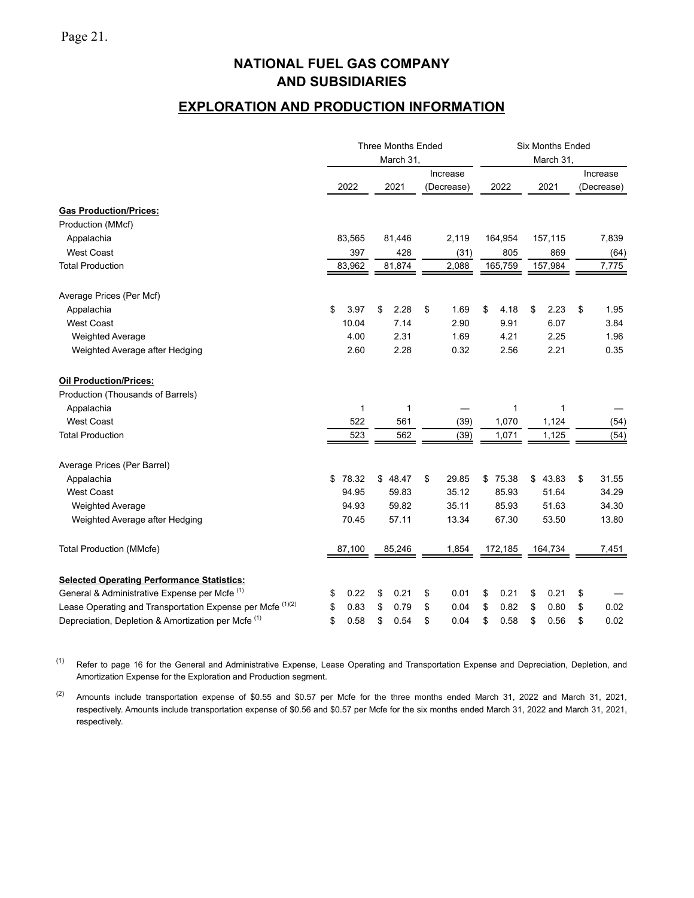## **EXPLORATION AND PRODUCTION INFORMATION**

|                                                                       |             | <b>Three Months Ended</b> |                        | <b>Six Months Ended</b> |            |                        |  |  |
|-----------------------------------------------------------------------|-------------|---------------------------|------------------------|-------------------------|------------|------------------------|--|--|
|                                                                       |             | March 31,                 |                        |                         | March 31,  |                        |  |  |
|                                                                       | 2022        | 2021                      | Increase<br>(Decrease) | 2022                    | 2021       | Increase<br>(Decrease) |  |  |
| <b>Gas Production/Prices:</b>                                         |             |                           |                        |                         |            |                        |  |  |
| Production (MMcf)                                                     |             |                           |                        |                         |            |                        |  |  |
| Appalachia                                                            | 83,565      | 81,446                    | 2,119                  | 164,954                 | 157,115    | 7,839                  |  |  |
| <b>West Coast</b>                                                     | 397         | 428                       | (31)                   | 805                     | 869        | (64)                   |  |  |
| <b>Total Production</b>                                               | 83,962      | 81,874                    | 2,088                  | 165,759                 | 157,984    | 7,775                  |  |  |
| Average Prices (Per Mcf)                                              |             |                           |                        |                         |            |                        |  |  |
| Appalachia                                                            | \$<br>3.97  | \$<br>2.28                | \$<br>1.69             | \$<br>4.18              | \$<br>2.23 | \$<br>1.95             |  |  |
| <b>West Coast</b>                                                     | 10.04       | 7.14                      | 2.90                   | 9.91                    | 6.07       | 3.84                   |  |  |
| <b>Weighted Average</b>                                               | 4.00        | 2.31                      | 1.69                   | 4.21                    | 2.25       | 1.96                   |  |  |
| Weighted Average after Hedging                                        | 2.60        | 2.28                      | 0.32                   | 2.56                    | 2.21       | 0.35                   |  |  |
| <b>Oil Production/Prices:</b>                                         |             |                           |                        |                         |            |                        |  |  |
| Production (Thousands of Barrels)                                     |             |                           |                        |                         |            |                        |  |  |
| Appalachia                                                            | 1           | 1                         |                        |                         | 1          |                        |  |  |
| <b>West Coast</b>                                                     | 522         | 561                       | (39)                   | 1,070                   | 1,124      | (54)                   |  |  |
| <b>Total Production</b>                                               | 523         | 562                       | (39)                   | 1,071                   | 1,125      | (54)                   |  |  |
| Average Prices (Per Barrel)                                           |             |                           |                        |                         |            |                        |  |  |
| Appalachia                                                            | \$<br>78.32 | \$48.47                   | \$<br>29.85            | \$75.38                 | \$43.83    | \$<br>31.55            |  |  |
| <b>West Coast</b>                                                     | 94.95       | 59.83                     | 35.12                  | 85.93                   | 51.64      | 34.29                  |  |  |
| <b>Weighted Average</b>                                               | 94.93       | 59.82                     | 35.11                  | 85.93                   | 51.63      | 34.30                  |  |  |
| Weighted Average after Hedging                                        | 70.45       | 57.11                     | 13.34                  | 67.30                   | 53.50      | 13.80                  |  |  |
| <b>Total Production (MMcfe)</b>                                       | 87,100      | 85,246                    | 1,854                  | 172,185                 | 164,734    | 7,451                  |  |  |
| <b>Selected Operating Performance Statistics:</b>                     |             |                           |                        |                         |            |                        |  |  |
| General & Administrative Expense per Mcfe <sup>(1)</sup>              | 0.22<br>\$  | \$<br>0.21                | \$<br>0.01             | \$<br>0.21              | \$<br>0.21 | \$                     |  |  |
| Lease Operating and Transportation Expense per Mcfe <sup>(1)(2)</sup> | \$<br>0.83  | \$<br>0.79                | \$<br>0.04             | \$<br>0.82              | \$<br>0.80 | \$<br>0.02             |  |  |
| Depreciation, Depletion & Amortization per Mcfe <sup>(1)</sup>        | \$<br>0.58  | \$<br>0.54                | \$<br>0.04             | \$<br>0.58              | \$<br>0.56 | \$<br>0.02             |  |  |

(1) Refer to page 16 for the General and Administrative Expense, Lease Operating and Transportation Expense and Depreciation, Depletion, and Amortization Expense for the Exploration and Production segment.

<sup>(2)</sup> Amounts include transportation expense of \$0.55 and \$0.57 per Mcfe for the three months ended March 31, 2022 and March 31, 2021, respectively. Amounts include transportation expense of \$0.56 and \$0.57 per Mcfe for the six months ended March 31, 2022 and March 31, 2021, respectively.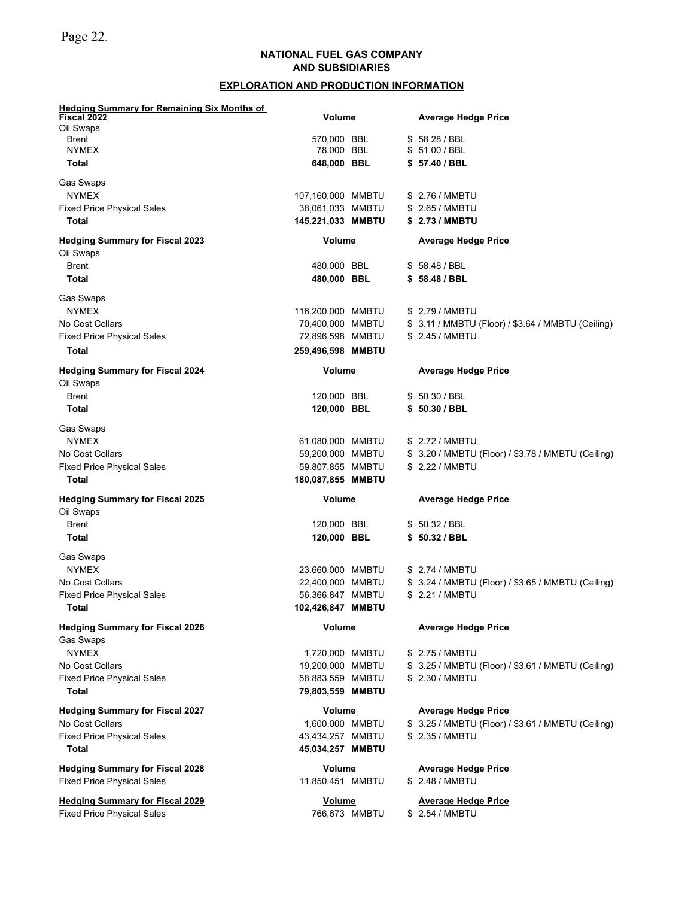Page 22.

## **NATIONAL FUEL GAS COMPANY AND SUBSIDIARIES**

## **EXPLORATION AND PRODUCTION INFORMATION**

| <b>Hedging Summary for Remaining Six Months of</b>  |                   |               |                                                    |
|-----------------------------------------------------|-------------------|---------------|----------------------------------------------------|
| Fiscal 2022<br>Oil Swaps                            | <u>Volume</u>     |               | <b>Average Hedge Price</b>                         |
| <b>Brent</b>                                        | 570,000 BBL       |               | \$58.28 / BBL                                      |
| <b>NYMEX</b>                                        | 78,000 BBL        |               | \$ 51.00 / BBL                                     |
| Total                                               | 648,000 BBL       |               | \$57.40 / BBL                                      |
| Gas Swaps                                           |                   |               |                                                    |
| <b>NYMEX</b>                                        | 107,160,000 MMBTU |               | \$ 2.76 / MMBTU                                    |
| <b>Fixed Price Physical Sales</b>                   | 38,061,033 MMBTU  |               | \$ 2.65 / MMBTU                                    |
| <b>Total</b>                                        | 145,221,033 MMBTU |               | \$ 2.73 / MMBTU                                    |
| <b>Hedging Summary for Fiscal 2023</b>              | Volume            |               | <b>Average Hedge Price</b>                         |
| Oil Swaps                                           |                   |               |                                                    |
| <b>Brent</b>                                        | 480,000 BBL       |               | \$58.48/BBL                                        |
| <b>Total</b>                                        | 480,000 BBL       |               | \$58.48 / BBL                                      |
| Gas Swaps                                           |                   |               |                                                    |
| <b>NYMEX</b>                                        | 116,200,000 MMBTU |               | \$ 2.79 / MMBTU                                    |
| No Cost Collars                                     | 70,400,000 MMBTU  |               | \$ 3.11 / MMBTU (Floor) / \$3.64 / MMBTU (Ceiling) |
| <b>Fixed Price Physical Sales</b>                   | 72,896,598 MMBTU  |               | \$ 2.45 / MMBTU                                    |
| Total                                               | 259,496,598 MMBTU |               |                                                    |
| <b>Hedging Summary for Fiscal 2024</b><br>Oil Swaps | <b>Volume</b>     |               | <b>Average Hedge Price</b>                         |
| <b>Brent</b>                                        | 120,000 BBL       |               | \$50.30 / BBL                                      |
| Total                                               | 120,000 BBL       |               | \$50.30 / BBL                                      |
| Gas Swaps                                           |                   |               |                                                    |
| <b>NYMEX</b>                                        | 61,080,000 MMBTU  |               | \$ 2.72 / MMBTU                                    |
| No Cost Collars                                     | 59,200,000 MMBTU  |               | \$ 3.20 / MMBTU (Floor) / \$3.78 / MMBTU (Ceiling) |
| <b>Fixed Price Physical Sales</b>                   | 59,807,855 MMBTU  |               | \$ 2.22 / MMBTU                                    |
| Total                                               | 180,087,855 MMBTU |               |                                                    |
| <b>Hedging Summary for Fiscal 2025</b>              | <b>Volume</b>     |               | <b>Average Hedge Price</b>                         |
| Oil Swaps                                           |                   |               |                                                    |
| <b>Brent</b>                                        | 120,000 BBL       |               | \$50.32 / BBL                                      |
| Total                                               | 120,000 BBL       |               | \$50.32 / BBL                                      |
| Gas Swaps                                           |                   |               |                                                    |
| <b>NYMEX</b>                                        | 23,660,000 MMBTU  |               | \$ 2.74 / MMBTU                                    |
| No Cost Collars                                     | 22,400,000 MMBTU  |               | \$ 3.24 / MMBTU (Floor) / \$3.65 / MMBTU (Ceiling) |
| <b>Fixed Price Physical Sales</b>                   | 56,366,847 MMBTU  |               | \$ 2.21 / MMBTU                                    |
| Total                                               | 102,426,847 MMBTU |               |                                                    |
| <b>Hedging Summary for Fiscal 2026</b>              | <b>Volume</b>     |               | <b>Average Hedge Price</b>                         |
| <b>Gas Swaps</b>                                    |                   |               |                                                    |
| <b>NYMEX</b>                                        | 1,720,000 MMBTU   |               | \$ 2.75 / MMBTU                                    |
| No Cost Collars                                     | 19,200,000 MMBTU  |               | \$ 3.25 / MMBTU (Floor) / \$3.61 / MMBTU (Ceiling) |
| <b>Fixed Price Physical Sales</b>                   | 58,883,559 MMBTU  |               | \$ 2.30 / MMBTU                                    |
| Total                                               | 79,803,559 MMBTU  |               |                                                    |
| <b>Hedging Summary for Fiscal 2027</b>              | <b>Volume</b>     |               | <b>Average Hedge Price</b>                         |
| No Cost Collars                                     | 1,600,000 MMBTU   |               | \$ 3.25 / MMBTU (Floor) / \$3.61 / MMBTU (Ceiling) |
| <b>Fixed Price Physical Sales</b>                   | 43,434,257 MMBTU  |               | \$ 2.35 / MMBTU                                    |
| Total                                               | 45,034,257 MMBTU  |               |                                                    |
| <b>Hedging Summary for Fiscal 2028</b>              | <b>Volume</b>     |               | <b>Average Hedge Price</b>                         |
| <b>Fixed Price Physical Sales</b>                   | 11,850,451 MMBTU  |               | \$ 2.48 / MMBTU                                    |
| <b>Hedging Summary for Fiscal 2029</b>              | <b>Volume</b>     |               | <b>Average Hedge Price</b>                         |
| <b>Fixed Price Physical Sales</b>                   |                   | 766,673 MMBTU | \$ 2.54 / MMBTU                                    |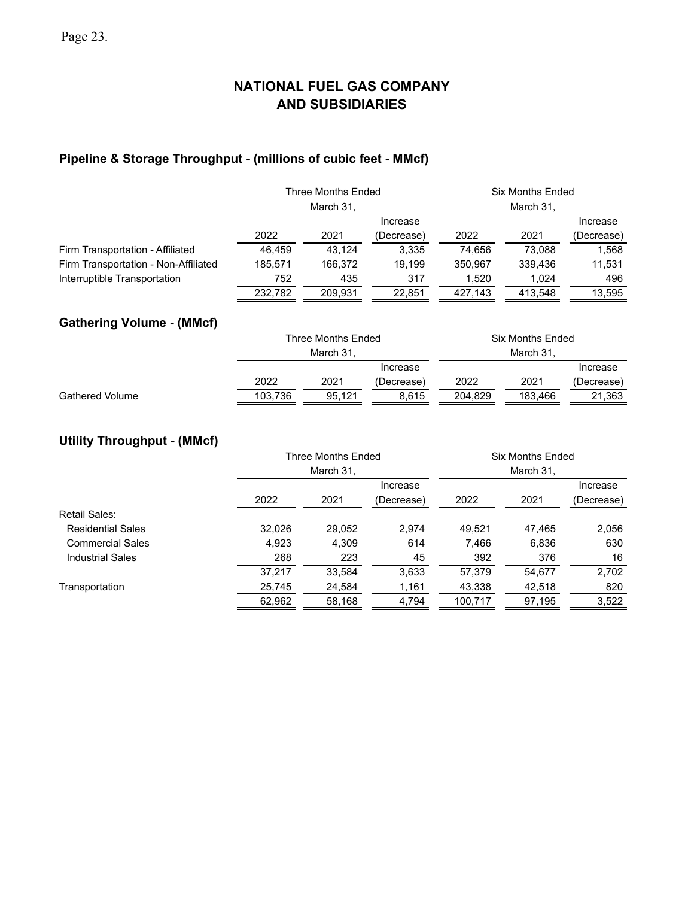# **Pipeline & Storage Throughput - (millions of cubic feet - MMcf)**

|                                      |         | Three Months Ended   |            | <b>Six Months Ended</b><br>March 31, |           |            |  |  |  |  |
|--------------------------------------|---------|----------------------|------------|--------------------------------------|-----------|------------|--|--|--|--|
|                                      |         | March 31,            |            |                                      |           |            |  |  |  |  |
|                                      |         |                      | Increase   |                                      |           | Increase   |  |  |  |  |
|                                      | 2022    | 2021                 | (Decrease) | 2022                                 | 2021      | (Decrease) |  |  |  |  |
| Firm Transportation - Affiliated     | 46,459  | 43.124               | 3,335      | 74,656                               | 73,088    | 1,568      |  |  |  |  |
| Firm Transportation - Non-Affiliated | 185,571 | 166,372              | 19.199     | 350.967                              | 339.436   | 11,531     |  |  |  |  |
| Interruptible Transportation         | 752     | 435                  | 317        | 1,520                                | 1,024     | 496        |  |  |  |  |
|                                      | 232,782 | 209,931<br>22,851    |            | 427,143                              | 413,548   | 13,595     |  |  |  |  |
| <b>Gathering Volume - (MMcf)</b>     |         |                      |            |                                      |           |            |  |  |  |  |
|                                      |         | Three Months Ended   |            | Six Months Ended                     |           |            |  |  |  |  |
|                                      |         | March 31,            |            |                                      | March 31, |            |  |  |  |  |
|                                      |         | Increase<br>Increase |            |                                      |           |            |  |  |  |  |
|                                      | 2022    | 2021                 | (Decrease) | 2022                                 | 2021      | (Decrease) |  |  |  |  |
| <b>Gathered Volume</b>               | 103,736 | 95,121               | 8,615      | 204,829                              | 183,466   | 21,363     |  |  |  |  |

## **Utility Throughput - (MMcf)**

|                          |        | <b>Three Months Ended</b> |            | <b>Six Months Ended</b> |        |                        |  |  |  |  |
|--------------------------|--------|---------------------------|------------|-------------------------|--------|------------------------|--|--|--|--|
|                          |        | March 31,                 |            |                         |        |                        |  |  |  |  |
|                          |        |                           | Increase   |                         |        | Increase<br>(Decrease) |  |  |  |  |
|                          | 2022   | 2021                      | (Decrease) | 2022                    | 2021   |                        |  |  |  |  |
| Retail Sales:            |        |                           |            |                         |        |                        |  |  |  |  |
| <b>Residential Sales</b> | 32.026 | 29,052                    | 2.974      | 49.521                  | 47.465 | 2,056                  |  |  |  |  |
| <b>Commercial Sales</b>  | 4,923  | 4,309                     | 614        | 7,466                   | 6,836  | 630                    |  |  |  |  |
| <b>Industrial Sales</b>  | 268    | 223                       | 45         | 392                     | 376    | 16                     |  |  |  |  |
|                          | 37.217 | 33.584                    | 3.633      | 57.379                  | 54.677 | 2,702                  |  |  |  |  |
| Transportation           | 25,745 | 24,584                    | 1,161      | 43,338                  | 42,518 | 820                    |  |  |  |  |
|                          | 62,962 | 58,168                    | 4,794      | 100,717                 | 97,195 | 3,522                  |  |  |  |  |
|                          |        |                           |            |                         |        |                        |  |  |  |  |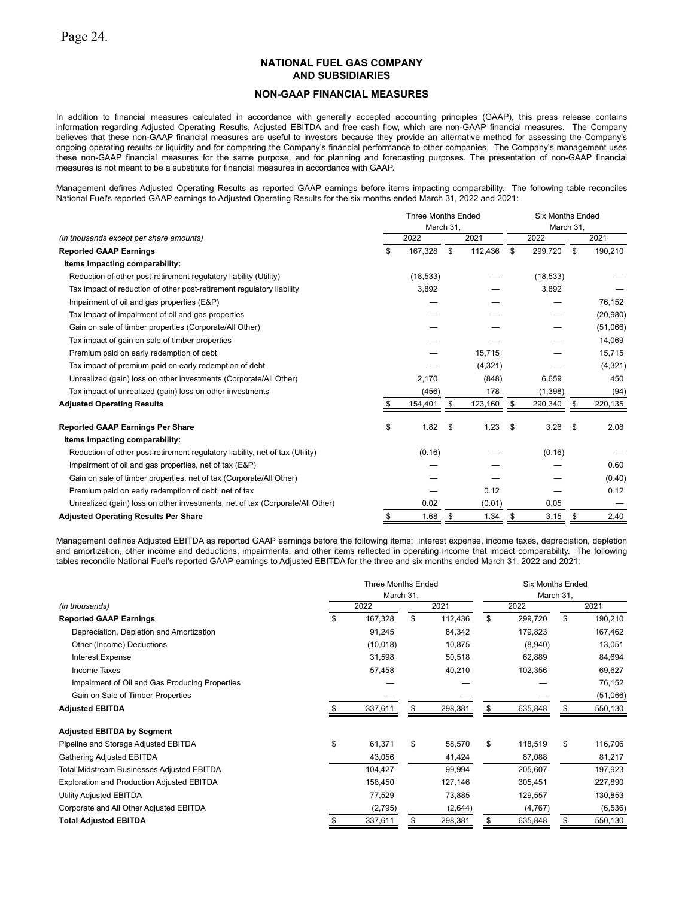### **NON-GAAP FINANCIAL MEASURES**

In addition to financial measures calculated in accordance with generally accepted accounting principles (GAAP), this press release contains information regarding Adjusted Operating Results, Adjusted EBITDA and free cash flow, which are non-GAAP financial measures. The Company believes that these non-GAAP financial measures are useful to investors because they provide an alternative method for assessing the Company's ongoing operating results or liquidity and for comparing the Company's financial performance to other companies. The Company's management uses these non-GAAP financial measures for the same purpose, and for planning and forecasting purposes. The presentation of non-GAAP financial measures is not meant to be a substitute for financial measures in accordance with GAAP.

Management defines Adjusted Operating Results as reported GAAP earnings before items impacting comparability. The following table reconciles National Fuel's reported GAAP earnings to Adjusted Operating Results for the six months ended March 31, 2022 and 2021:

|                                                                               |    | <b>Three Months Ended</b> |           |          | <b>Six Months Ended</b> |           |    |           |  |
|-------------------------------------------------------------------------------|----|---------------------------|-----------|----------|-------------------------|-----------|----|-----------|--|
|                                                                               |    |                           | March 31, |          |                         | March 31, |    |           |  |
| (in thousands except per share amounts)                                       |    | 2022                      |           | 2021     |                         | 2022      |    | 2021      |  |
| <b>Reported GAAP Earnings</b>                                                 | \$ | 167,328                   | \$        | 112,436  | \$                      | 299,720   | \$ | 190,210   |  |
| Items impacting comparability:                                                |    |                           |           |          |                         |           |    |           |  |
| Reduction of other post-retirement regulatory liability (Utility)             |    | (18, 533)                 |           |          |                         | (18, 533) |    |           |  |
| Tax impact of reduction of other post-retirement regulatory liability         |    | 3,892                     |           |          |                         | 3,892     |    |           |  |
| Impairment of oil and gas properties (E&P)                                    |    |                           |           |          |                         |           |    | 76,152    |  |
| Tax impact of impairment of oil and gas properties                            |    |                           |           |          |                         |           |    | (20, 980) |  |
| Gain on sale of timber properties (Corporate/All Other)                       |    |                           |           |          |                         |           |    | (51,066)  |  |
| Tax impact of gain on sale of timber properties                               |    |                           |           |          |                         |           |    | 14,069    |  |
| Premium paid on early redemption of debt                                      |    |                           |           | 15,715   |                         |           |    | 15,715    |  |
| Tax impact of premium paid on early redemption of debt                        |    |                           |           | (4, 321) |                         |           |    | (4, 321)  |  |
| Unrealized (gain) loss on other investments (Corporate/All Other)             |    | 2,170                     |           | (848)    |                         | 6,659     |    | 450       |  |
| Tax impact of unrealized (gain) loss on other investments                     |    | (456)                     |           | 178      |                         | (1,398)   |    | (94)      |  |
| <b>Adjusted Operating Results</b>                                             |    | 154,401                   | \$        | 123,160  | S                       | 290,340   | S  | 220,135   |  |
| <b>Reported GAAP Earnings Per Share</b>                                       | \$ | 1.82                      | \$        | 1.23     | \$                      | 3.26      | \$ | 2.08      |  |
| Items impacting comparability:                                                |    |                           |           |          |                         |           |    |           |  |
| Reduction of other post-retirement regulatory liability, net of tax (Utility) |    | (0.16)                    |           |          |                         | (0.16)    |    |           |  |
| Impairment of oil and gas properties, net of tax (E&P)                        |    |                           |           |          |                         |           |    | 0.60      |  |
| Gain on sale of timber properties, net of tax (Corporate/All Other)           |    |                           |           |          |                         |           |    | (0.40)    |  |
| Premium paid on early redemption of debt, net of tax                          |    |                           |           | 0.12     |                         |           |    | 0.12      |  |
| Unrealized (gain) loss on other investments, net of tax (Corporate/All Other) |    | 0.02                      |           | (0.01)   |                         | 0.05      |    |           |  |
| <b>Adjusted Operating Results Per Share</b>                                   | \$ | 1.68                      | \$        | 1.34     | \$                      | 3.15      | \$ | 2.40      |  |

Management defines Adjusted EBITDA as reported GAAP earnings before the following items: interest expense, income taxes, depreciation, depletion and amortization, other income and deductions, impairments, and other items reflected in operating income that impact comparability. The following tables reconcile National Fuel's reported GAAP earnings to Adjusted EBITDA for the three and six months ended March 31, 2022 and 2021:

|                                                | <b>Three Months Ended</b><br>March 31, |           |    |         |      | <b>Six Months Ended</b><br>March 31, |      |          |  |
|------------------------------------------------|----------------------------------------|-----------|----|---------|------|--------------------------------------|------|----------|--|
| (in thousands)                                 | 2022                                   |           |    | 2021    | 2022 |                                      | 2021 |          |  |
| <b>Reported GAAP Earnings</b>                  | \$                                     | 167,328   | \$ | 112,436 | \$   | 299,720                              | \$   | 190,210  |  |
| Depreciation, Depletion and Amortization       |                                        | 91,245    |    | 84,342  |      | 179,823                              |      | 167,462  |  |
| Other (Income) Deductions                      |                                        | (10, 018) |    | 10,875  |      | (8,940)                              |      | 13,051   |  |
| Interest Expense                               |                                        | 31,598    |    | 50,518  |      | 62,889                               |      | 84,694   |  |
| <b>Income Taxes</b>                            |                                        | 57,458    |    | 40,210  |      | 102,356                              |      | 69,627   |  |
| Impairment of Oil and Gas Producing Properties |                                        |           |    |         |      |                                      |      | 76,152   |  |
| Gain on Sale of Timber Properties              |                                        |           |    |         |      |                                      |      | (51,066) |  |
| <b>Adjusted EBITDA</b>                         |                                        | 337,611   | \$ | 298,381 | \$   | 635,848                              | \$   | 550,130  |  |
| <b>Adjusted EBITDA by Segment</b>              |                                        |           |    |         |      |                                      |      |          |  |
| Pipeline and Storage Adjusted EBITDA           | \$                                     | 61,371    | \$ | 58,570  | \$   | 118,519                              | \$   | 116,706  |  |
| Gathering Adjusted EBITDA                      |                                        | 43,056    |    | 41,424  |      | 87,088                               |      | 81,217   |  |
| Total Midstream Businesses Adjusted EBITDA     |                                        | 104,427   |    | 99,994  |      | 205,607                              |      | 197,923  |  |
| Exploration and Production Adjusted EBITDA     |                                        | 158,450   |    | 127,146 |      | 305,451                              |      | 227,890  |  |
| Utility Adjusted EBITDA                        |                                        | 77,529    |    | 73,885  |      | 129,557                              |      | 130,853  |  |
| Corporate and All Other Adjusted EBITDA        |                                        | (2,795)   |    | (2,644) |      | (4, 767)                             |      | (6, 536) |  |
| <b>Total Adjusted EBITDA</b>                   |                                        | 337,611   |    | 298,381 |      | 635,848                              |      | 550,130  |  |